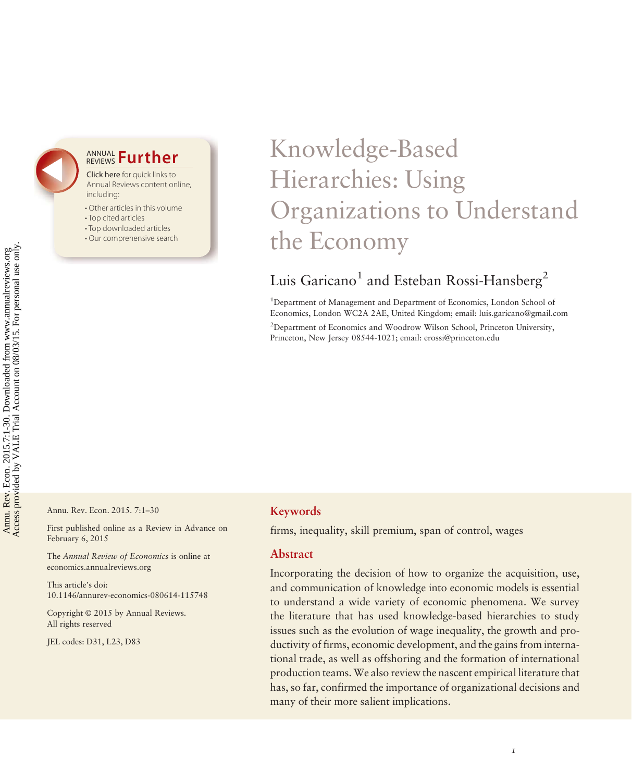## **ANNUAL Further**

Click here for quick links to Annual Reviews content online, including:

- Other articles in this volume
- Top cited articles
- Top downloaded articles
- Our comprehensive search

# Knowledge-Based Hierarchies: Using Organizations to Understand the Economy

### Luis Garicano<sup>1</sup> and Esteban Rossi-Hansberg<sup>2</sup>

<sup>1</sup>Department of Management and Department of Economics, London School of Economics, London WC2A 2AE, United Kingdom; email: [luis.garicano@gmail.com](mailto:luis.garicano@gmail.com) <sup>2</sup>Department of Economics and Woodrow Wilson School, Princeton University, Princeton, New Jersey 08544-1021; email: [erossi@princeton.edu](mailto:erossi@princeton.edu)

Annu. Rev. Econ. 2015. 7:1–30

First published online as a Review in Advance on February 6, 2015

The Annual Review of Economics is online at <economics.annualreviews.org>

This article's doi: 10.1146/annurev-economics-080614-115748

Copyright © 2015 by Annual Reviews. All rights reserved

JEL codes: D31, L23, D83

#### Keywords

firms, inequality, skill premium, span of control, wages

#### Abstract

Incorporating the decision of how to organize the acquisition, use, and communication of knowledge into economic models is essential to understand a wide variety of economic phenomena. We survey the literature that has used knowledge-based hierarchies to study issues such as the evolution of wage inequality, the growth and productivity of firms, economic development, and the gains from international trade, as well as offshoring and the formation of international production teams. We also review the nascent empirical literature that has, so far, confirmed the importance of organizational decisions and many of their more salient implications.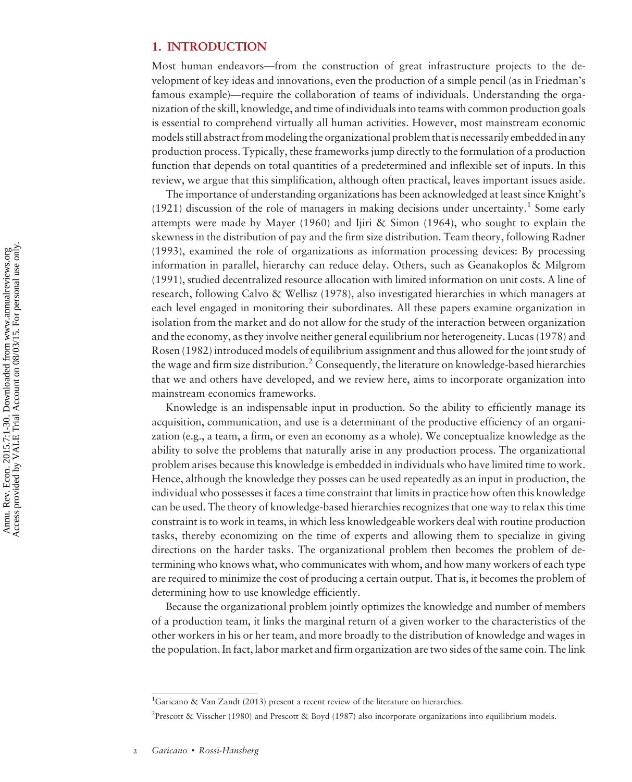#### 1. INTRODUCTION

Most human endeavors—from the construction of great infrastructure projects to the development of key ideas and innovations, even the production of a simple pencil (as in Friedman's famous example)—require the collaboration of teams of individuals. Understanding the organization of the skill, knowledge, and time of individuals into teams with common production goals is essential to comprehend virtually all human activities. However, most mainstream economic models still abstract from modeling the organizational problem that is necessarily embedded in any production process. Typically, these frameworks jump directly to the formulation of a production function that depends on total quantities of a predetermined and inflexible set of inputs. In this review, we argue that this simplification, although often practical, leaves important issues aside.

The importance of understanding organizations has been acknowledged at least since Knight's (1921) discussion of the role of managers in making decisions under uncertainty.<sup>1</sup> Some early attempts were made by Mayer (1960) and Ijiri & Simon (1964), who sought to explain the skewness in the distribution of pay and the firm size distribution. Team theory, following Radner (1993), examined the role of organizations as information processing devices: By processing information in parallel, hierarchy can reduce delay. Others, such as Geanakoplos & Milgrom (1991), studied decentralized resource allocation with limited information on unit costs. A line of research, following Calvo & Wellisz (1978), also investigated hierarchies in which managers at each level engaged in monitoring their subordinates. All these papers examine organization in isolation from the market and do not allow for the study of the interaction between organization and the economy, as they involve neither general equilibrium nor heterogeneity. Lucas (1978) and Rosen (1982) introduced models of equilibrium assignment and thus allowed for the joint study of the wage and firm size distribution.<sup>2</sup> Consequently, the literature on knowledge-based hierarchies that we and others have developed, and we review here, aims to incorporate organization into mainstream economics frameworks.

Knowledge is an indispensable input in production. So the ability to efficiently manage its acquisition, communication, and use is a determinant of the productive efficiency of an organization (e.g., a team, a firm, or even an economy as a whole). We conceptualize knowledge as the ability to solve the problems that naturally arise in any production process. The organizational problem arises because this knowledge is embedded in individuals who have limited time to work. Hence, although the knowledge they posses can be used repeatedly as an input in production, the individual who possesses it faces a time constraint that limits in practice how often this knowledge can be used. The theory of knowledge-based hierarchies recognizes that one way to relax this time constraint is to work in teams, in which less knowledgeable workers deal with routine production tasks, thereby economizing on the time of experts and allowing them to specialize in giving directions on the harder tasks. The organizational problem then becomes the problem of determining who knows what, who communicates with whom, and how many workers of each type are required to minimize the cost of producing a certain output. That is, it becomes the problem of determining how to use knowledge efficiently.

Because the organizational problem jointly optimizes the knowledge and number of members of a production team, it links the marginal return of a given worker to the characteristics of the other workers in his or her team, and more broadly to the distribution of knowledge and wages in the population. In fact, labor market and firm organization are two sides of the same coin. The link

<sup>&</sup>lt;sup>1</sup>Garicano & Van Zandt (2013) present a recent review of the literature on hierarchies.

<sup>2</sup> Prescott & Visscher (1980) and Prescott & Boyd (1987) also incorporate organizations into equilibrium models.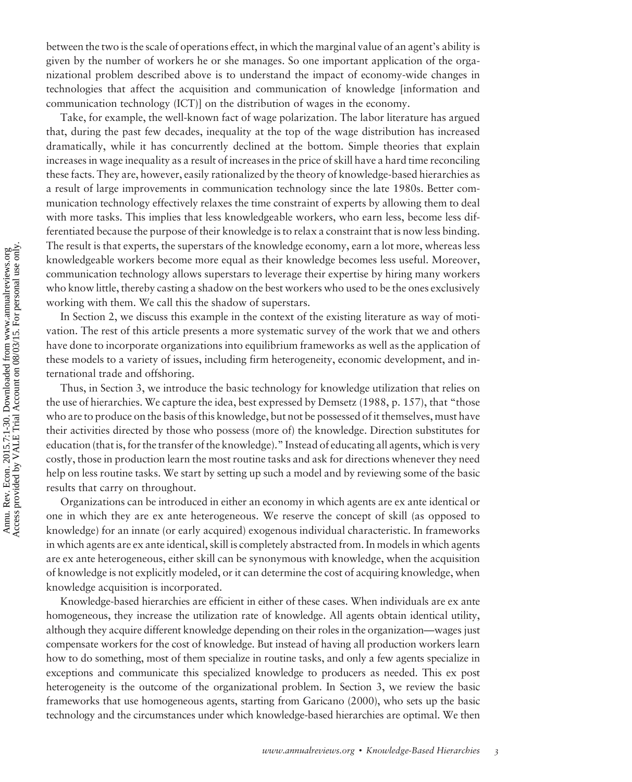between the two is the scale of operations effect, in which the marginal value of an agent's ability is given by the number of workers he or she manages. So one important application of the organizational problem described above is to understand the impact of economy-wide changes in technologies that affect the acquisition and communication of knowledge [information and communication technology (ICT)] on the distribution of wages in the economy.

Take, for example, the well-known fact of wage polarization. The labor literature has argued that, during the past few decades, inequality at the top of the wage distribution has increased dramatically, while it has concurrently declined at the bottom. Simple theories that explain increases in wage inequality as a result of increases in the price of skill have a hard time reconciling these facts. They are, however, easily rationalized by the theory of knowledge-based hierarchies as a result of large improvements in communication technology since the late 1980s. Better communication technology effectively relaxes the time constraint of experts by allowing them to deal with more tasks. This implies that less knowledgeable workers, who earn less, become less differentiated because the purpose of their knowledge is to relax a constraint that is now less binding. The result is that experts, the superstars of the knowledge economy, earn a lot more, whereas less knowledgeable workers become more equal as their knowledge becomes less useful. Moreover, communication technology allows superstars to leverage their expertise by hiring many workers who know little, thereby casting a shadow on the best workers who used to be the ones exclusively working with them. We call this the shadow of superstars.

In Section 2, we discuss this example in the context of the existing literature as way of motivation. The rest of this article presents a more systematic survey of the work that we and others have done to incorporate organizations into equilibrium frameworks as well as the application of these models to a variety of issues, including firm heterogeneity, economic development, and international trade and offshoring.

Thus, in Section 3, we introduce the basic technology for knowledge utilization that relies on the use of hierarchies. We capture the idea, best expressed by Demsetz (1988, p. 157), that "those who are to produce on the basis of this knowledge, but not be possessed of it themselves, must have their activities directed by those who possess (more of) the knowledge. Direction substitutes for education (that is, for the transfer of the knowledge)." Instead of educating all agents, which is very costly, those in production learn the most routine tasks and ask for directions whenever they need help on less routine tasks. We start by setting up such a model and by reviewing some of the basic results that carry on throughout.

Organizations can be introduced in either an economy in which agents are ex ante identical or one in which they are ex ante heterogeneous. We reserve the concept of skill (as opposed to knowledge) for an innate (or early acquired) exogenous individual characteristic. In frameworks in which agents are ex ante identical, skill is completely abstracted from. In models in which agents are ex ante heterogeneous, either skill can be synonymous with knowledge, when the acquisition of knowledge is not explicitly modeled, or it can determine the cost of acquiring knowledge, when knowledge acquisition is incorporated.

Knowledge-based hierarchies are efficient in either of these cases. When individuals are ex ante homogeneous, they increase the utilization rate of knowledge. All agents obtain identical utility, although they acquire different knowledge depending on their roles in the organization—wages just compensate workers for the cost of knowledge. But instead of having all production workers learn how to do something, most of them specialize in routine tasks, and only a few agents specialize in exceptions and communicate this specialized knowledge to producers as needed. This ex post heterogeneity is the outcome of the organizational problem. In Section 3, we review the basic frameworks that use homogeneous agents, starting from Garicano (2000), who sets up the basic technology and the circumstances under which knowledge-based hierarchies are optimal. We then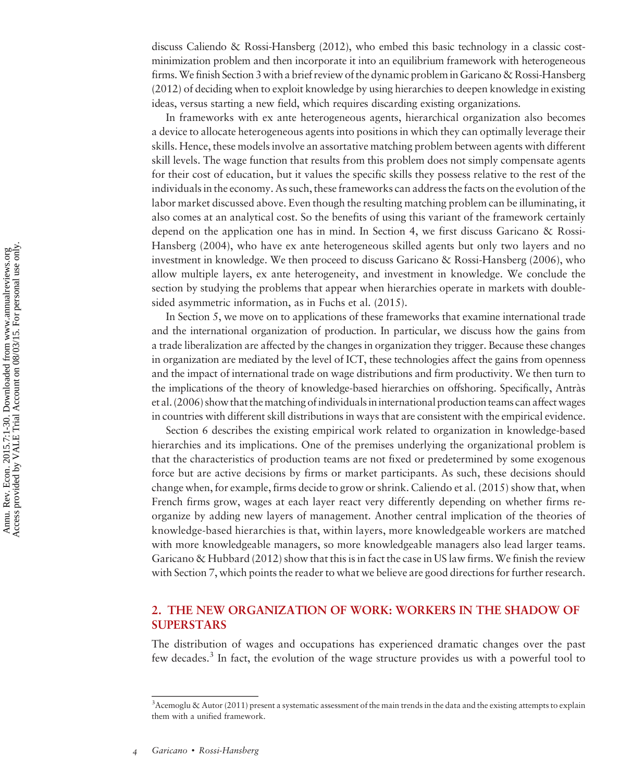discuss Caliendo & Rossi-Hansberg (2012), who embed this basic technology in a classic costminimization problem and then incorporate it into an equilibrium framework with heterogeneous firms.We finish Section 3 with a brief review of the dynamic problem in Garicano & Rossi-Hansberg (2012) of deciding when to exploit knowledge by using hierarchies to deepen knowledge in existing ideas, versus starting a new field, which requires discarding existing organizations.

In frameworks with ex ante heterogeneous agents, hierarchical organization also becomes a device to allocate heterogeneous agents into positions in which they can optimally leverage their skills. Hence, these models involve an assortative matching problem between agents with different skill levels. The wage function that results from this problem does not simply compensate agents for their cost of education, but it values the specific skills they possess relative to the rest of the individuals in the economy. As such, these frameworks can address the facts on the evolution of the labor market discussed above. Even though the resulting matching problem can be illuminating, it also comes at an analytical cost. So the benefits of using this variant of the framework certainly depend on the application one has in mind. In Section 4, we first discuss Garicano & Rossi-Hansberg (2004), who have ex ante heterogeneous skilled agents but only two layers and no investment in knowledge. We then proceed to discuss Garicano & Rossi-Hansberg (2006), who allow multiple layers, ex ante heterogeneity, and investment in knowledge. We conclude the section by studying the problems that appear when hierarchies operate in markets with doublesided asymmetric information, as in Fuchs et al. (2015).

In Section 5, we move on to applications of these frameworks that examine international trade and the international organization of production. In particular, we discuss how the gains from a trade liberalization are affected by the changes in organization they trigger. Because these changes in organization are mediated by the level of ICT, these technologies affect the gains from openness and the impact of international trade on wage distributions and firm productivity. We then turn to the implications of the theory of knowledge-based hierarchies on offshoring. Specifically, Antràs et al. (2006) show that the matching of individuals ininternational production teams can affect wages in countries with different skill distributions in ways that are consistent with the empirical evidence.

Section 6 describes the existing empirical work related to organization in knowledge-based hierarchies and its implications. One of the premises underlying the organizational problem is that the characteristics of production teams are not fixed or predetermined by some exogenous force but are active decisions by firms or market participants. As such, these decisions should change when, for example, firms decide to grow or shrink. Caliendo et al. (2015) show that, when French firms grow, wages at each layer react very differently depending on whether firms reorganize by adding new layers of management. Another central implication of the theories of knowledge-based hierarchies is that, within layers, more knowledgeable workers are matched with more knowledgeable managers, so more knowledgeable managers also lead larger teams. Garicano & Hubbard (2012) show that this is in fact the case in US law firms. We finish the review with Section 7, which points the reader to what we believe are good directions for further research.

#### 2. THE NEW ORGANIZATION OF WORK: WORKERS IN THE SHADOW OF SUPERSTARS

The distribution of wages and occupations has experienced dramatic changes over the past few decades.<sup>3</sup> In fact, the evolution of the wage structure provides us with a powerful tool to

<sup>&</sup>lt;sup>3</sup> Acemoglu & Autor (2011) present a systematic assessment of the main trends in the data and the existing attempts to explain them with a unified framework.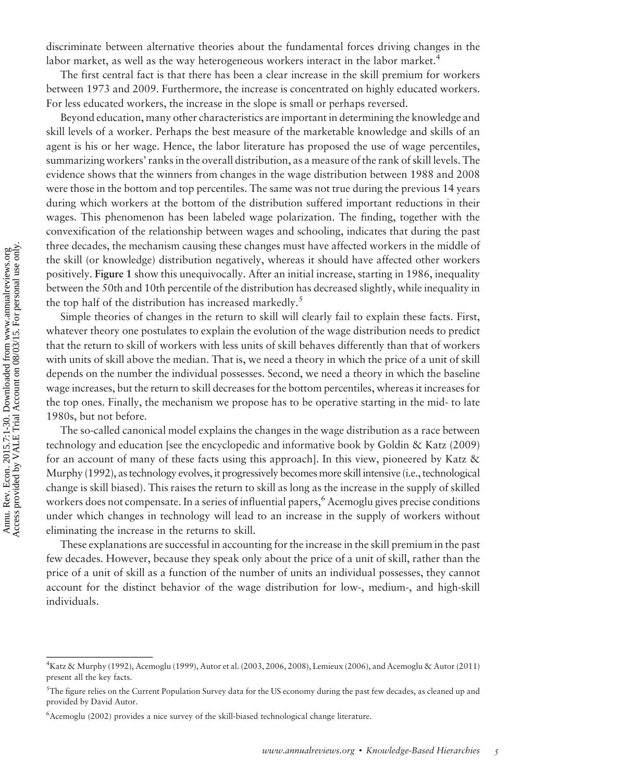discriminate between alternative theories about the fundamental forces driving changes in the labor market, as well as the way heterogeneous workers interact in the labor market.<sup>4</sup>

The first central fact is that there has been a clear increase in the skill premium for workers between 1973 and 2009. Furthermore, the increase is concentrated on highly educated workers. For less educated workers, the increase in the slope is small or perhaps reversed.

Beyond education, many other characteristics are important in determining the knowledge and skill levels of a worker. Perhaps the best measure of the marketable knowledge and skills of an agent is his or her wage. Hence, the labor literature has proposed the use of wage percentiles, summarizing workers'ranks in the overall distribution, as a measure of the rank of skill levels. The evidence shows that the winners from changes in the wage distribution between 1988 and 2008 were those in the bottom and top percentiles. The same was not true during the previous 14 years during which workers at the bottom of the distribution suffered important reductions in their wages. This phenomenon has been labeled wage polarization. The finding, together with the convexification of the relationship between wages and schooling, indicates that during the past three decades, the mechanism causing these changes must have affected workers in the middle of the skill (or knowledge) distribution negatively, whereas it should have affected other workers positively. Figure 1 show this unequivocally. After an initial increase, starting in 1986, inequality between the 50th and 10th percentile of the distribution has decreased slightly, while inequality in the top half of the distribution has increased markedly.<sup>5</sup>

Simple theories of changes in the return to skill will clearly fail to explain these facts. First, whatever theory one postulates to explain the evolution of the wage distribution needs to predict that the return to skill of workers with less units of skill behaves differently than that of workers with units of skill above the median. That is, we need a theory in which the price of a unit of skill depends on the number the individual possesses. Second, we need a theory in which the baseline wage increases, but the return to skill decreases for the bottom percentiles, whereas it increases for the top ones. Finally, the mechanism we propose has to be operative starting in the mid- to late 1980s, but not before.

The so-called canonical model explains the changes in the wage distribution as a race between technology and education [see the encyclopedic and informative book by Goldin & Katz (2009) for an account of many of these facts using this approach]. In this view, pioneered by Katz & Murphy (1992), as technology evolves, it progressively becomes more skill intensive (i.e., technological change is skill biased). This raises the return to skill as long as the increase in the supply of skilled workers does not compensate. In a series of influential papers, <sup>6</sup> Acemoglu gives precise conditions under which changes in technology will lead to an increase in the supply of workers without eliminating the increase in the returns to skill.

These explanations are successful in accounting for the increase in the skill premium in the past few decades. However, because they speak only about the price of a unit of skill, rather than the price of a unit of skill as a function of the number of units an individual possesses, they cannot account for the distinct behavior of the wage distribution for low-, medium-, and high-skill individuals.

<sup>4</sup> Katz & Murphy (1992), Acemoglu (1999), Autor et al. (2003, 2006, 2008), Lemieux (2006), and Acemoglu & Autor (2011) present all the key facts.

<sup>&</sup>lt;sup>5</sup>The figure relies on the Current Population Survey data for the US economy during the past few decades, as cleaned up and provided by David Autor.

<sup>6</sup> Acemoglu (2002) provides a nice survey of the skill-biased technological change literature.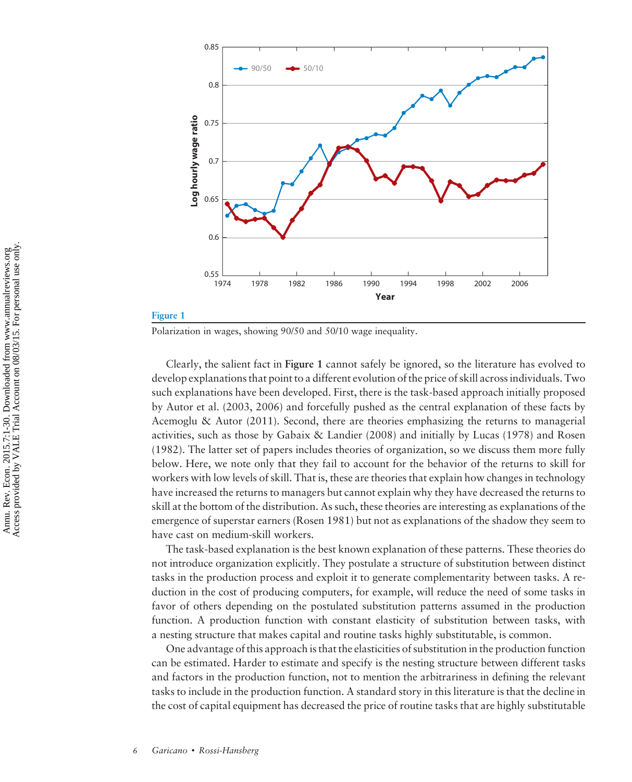

Polarization in wages, showing 90/50 and 50/10 wage inequality.

Clearly, the salient fact in Figure 1 cannot safely be ignored, so the literature has evolved to develop explanations that point to a different evolution of the price of skill across individuals. Two such explanations have been developed. First, there is the task-based approach initially proposed by Autor et al. (2003, 2006) and forcefully pushed as the central explanation of these facts by Acemoglu & Autor (2011). Second, there are theories emphasizing the returns to managerial activities, such as those by Gabaix & Landier (2008) and initially by Lucas (1978) and Rosen (1982). The latter set of papers includes theories of organization, so we discuss them more fully below. Here, we note only that they fail to account for the behavior of the returns to skill for workers with low levels of skill. That is, these are theories that explain how changes in technology have increased the returns to managers but cannot explain why they have decreased the returns to skill at the bottom of the distribution. As such, these theories are interesting as explanations of the emergence of superstar earners (Rosen 1981) but not as explanations of the shadow they seem to have cast on medium-skill workers.

The task-based explanation is the best known explanation of these patterns. These theories do not introduce organization explicitly. They postulate a structure of substitution between distinct tasks in the production process and exploit it to generate complementarity between tasks. A reduction in the cost of producing computers, for example, will reduce the need of some tasks in favor of others depending on the postulated substitution patterns assumed in the production function. A production function with constant elasticity of substitution between tasks, with a nesting structure that makes capital and routine tasks highly substitutable, is common.

One advantage of this approach is that the elasticities of substitution in the production function can be estimated. Harder to estimate and specify is the nesting structure between different tasks and factors in the production function, not to mention the arbitrariness in defining the relevant tasks to include in the production function. A standard story in this literature is that the decline in the cost of capital equipment has decreased the price of routine tasks that are highly substitutable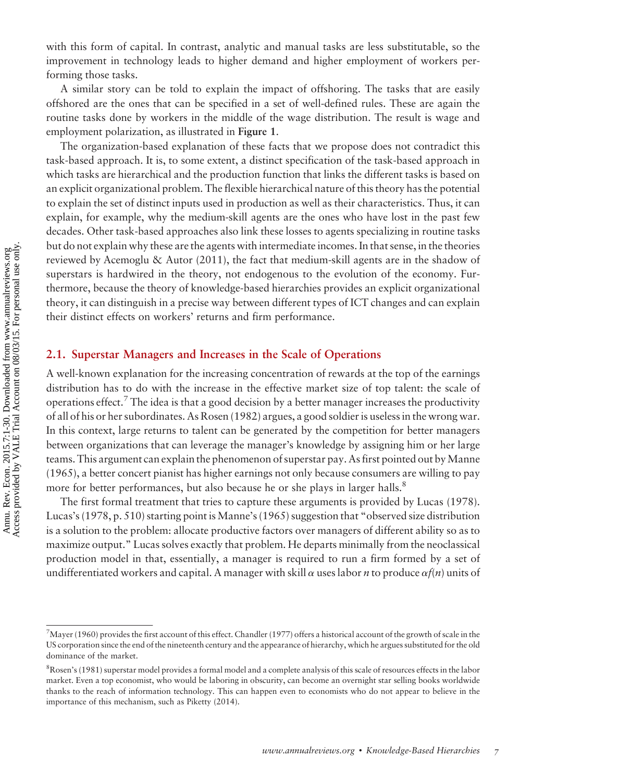with this form of capital. In contrast, analytic and manual tasks are less substitutable, so the improvement in technology leads to higher demand and higher employment of workers performing those tasks.

A similar story can be told to explain the impact of offshoring. The tasks that are easily offshored are the ones that can be specified in a set of well-defined rules. These are again the routine tasks done by workers in the middle of the wage distribution. The result is wage and employment polarization, as illustrated in Figure 1.

The organization-based explanation of these facts that we propose does not contradict this task-based approach. It is, to some extent, a distinct specification of the task-based approach in which tasks are hierarchical and the production function that links the different tasks is based on an explicit organizational problem. The flexible hierarchical nature of this theory has the potential to explain the set of distinct inputs used in production as well as their characteristics. Thus, it can explain, for example, why the medium-skill agents are the ones who have lost in the past few decades. Other task-based approaches also link these losses to agents specializing in routine tasks but do not explain why these are the agents with intermediate incomes. In that sense, in the theories reviewed by Acemoglu & Autor (2011), the fact that medium-skill agents are in the shadow of superstars is hardwired in the theory, not endogenous to the evolution of the economy. Furthermore, because the theory of knowledge-based hierarchies provides an explicit organizational theory, it can distinguish in a precise way between different types of ICT changes and can explain their distinct effects on workers' returns and firm performance.

#### 2.1. Superstar Managers and Increases in the Scale of Operations

A well-known explanation for the increasing concentration of rewards at the top of the earnings distribution has to do with the increase in the effective market size of top talent: the scale of operations effect.<sup>7</sup> The idea is that a good decision by a better manager increases the productivity of all of his or her subordinates. As Rosen (1982) argues, a good soldier is useless in the wrong war. In this context, large returns to talent can be generated by the competition for better managers between organizations that can leverage the manager's knowledge by assigning him or her large teams. This argument can explain the phenomenon of superstar pay. As first pointed out byManne (1965), a better concert pianist has higher earnings not only because consumers are willing to pay more for better performances, but also because he or she plays in larger halls.<sup>8</sup>

The first formal treatment that tries to capture these arguments is provided by Lucas (1978). Lucas's (1978, p. 510) starting point is Manne's (1965) suggestion that "observed size distribution is a solution to the problem: allocate productive factors over managers of different ability so as to maximize output." Lucas solves exactly that problem. He departs minimally from the neoclassical production model in that, essentially, a manager is required to run a firm formed by a set of undifferentiated workers and capital. A manager with skill  $\alpha$  uses labor *n* to produce  $\alpha f(n)$  units of

 $^7$ Mayer (1960) provides the first account of this effect. Chandler (1977) offers a historical account of the growth of scale in the US corporation since the end of the nineteenth century and the appearance of hierarchy, which he argues substituted for the old dominance of the market.

<sup>8</sup> Rosen's (1981) superstar model provides a formal model and a complete analysis of this scale of resources effects in the labor market. Even a top economist, who would be laboring in obscurity, can become an overnight star selling books worldwide thanks to the reach of information technology. This can happen even to economists who do not appear to believe in the importance of this mechanism, such as Piketty (2014).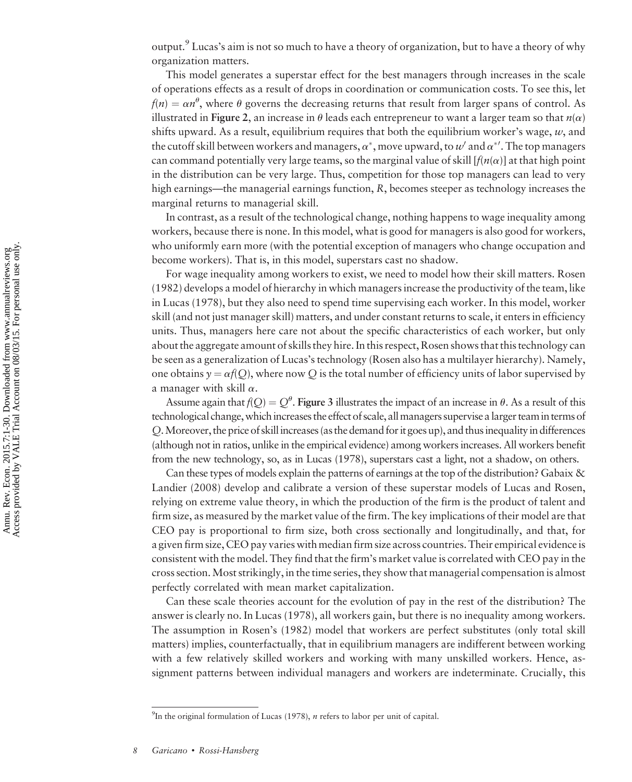output.<sup>9</sup> Lucas's aim is not so much to have a theory of organization, but to have a theory of why organization matters.

This model generates a superstar effect for the best managers through increases in the scale of operations effects as a result of drops in coordination or communication costs. To see this, let  $f(n) = \alpha n^{\theta}$ , where  $\theta$  governs the decreasing returns that result from larger spans of control. As illustrated in Figure 2, an increase in  $\theta$  leads each entrepreneur to want a larger team so that  $n(\alpha)$ shifts upward. As a result, equilibrium requires that both the equilibrium worker's wage,  $w$ , and the cutoff skill between workers and managers,  $\alpha^*$ , move upward, to  $u'$  and  $\alpha^{*'}$ . The top managers can command potentially very large teams, so the marginal value of skill  $[f(n(\alpha))]$  at that high point in the distribution can be very large. Thus, competition for those top managers can lead to very high earnings—the managerial earnings function, R, becomes steeper as technology increases the marginal returns to managerial skill.

In contrast, as a result of the technological change, nothing happens to wage inequality among workers, because there is none. In this model, what is good for managers is also good for workers, who uniformly earn more (with the potential exception of managers who change occupation and become workers). That is, in this model, superstars cast no shadow.

For wage inequality among workers to exist, we need to model how their skill matters. Rosen (1982) develops a model of hierarchy in which managers increase the productivity of the team, like in Lucas (1978), but they also need to spend time supervising each worker. In this model, worker skill (and not just manager skill) matters, and under constant returns to scale, it enters in efficiency units. Thus, managers here care not about the specific characteristics of each worker, but only about the aggregate amount of skills they hire. In this respect, Rosen shows that this technology can be seen as a generalization of Lucas's technology (Rosen also has a multilayer hierarchy). Namely, one obtains  $y = \alpha f(Q)$ , where now Q is the total number of efficiency units of labor supervised by a manager with skill  $\alpha$ .

Assume again that  $f(Q) = Q^{\theta}$ . Figure 3 illustrates the impact of an increase in  $\theta$ . As a result of this technological change, which increases the effect of scale, all managers supervise a larger team in terms of Q.Moreover, the price of skillincreases (as the demand forit goes up), and thusinequalityin differences (although not in ratios, unlike in the empirical evidence) among workers increases. All workers benefit from the new technology, so, as in Lucas (1978), superstars cast a light, not a shadow, on others.

Can these types of models explain the patterns of earnings at the top of the distribution? Gabaix & Landier (2008) develop and calibrate a version of these superstar models of Lucas and Rosen, relying on extreme value theory, in which the production of the firm is the product of talent and firm size, as measured by the market value of the firm. The key implications of their model are that CEO pay is proportional to firm size, both cross sectionally and longitudinally, and that, for a given firm size, CEO pay varies with median firm size across countries. Their empirical evidence is consistent with the model. They find that the firm's market value is correlated with CEO pay in the cross section.Most strikingly, in the time series, they show that managerial compensation is almost perfectly correlated with mean market capitalization.

Can these scale theories account for the evolution of pay in the rest of the distribution? The answer is clearly no. In Lucas (1978), all workers gain, but there is no inequality among workers. The assumption in Rosen's (1982) model that workers are perfect substitutes (only total skill matters) implies, counterfactually, that in equilibrium managers are indifferent between working with a few relatively skilled workers and working with many unskilled workers. Hence, assignment patterns between individual managers and workers are indeterminate. Crucially, this

<sup>&</sup>lt;sup>9</sup>In the original formulation of Lucas (1978), *n* refers to labor per unit of capital.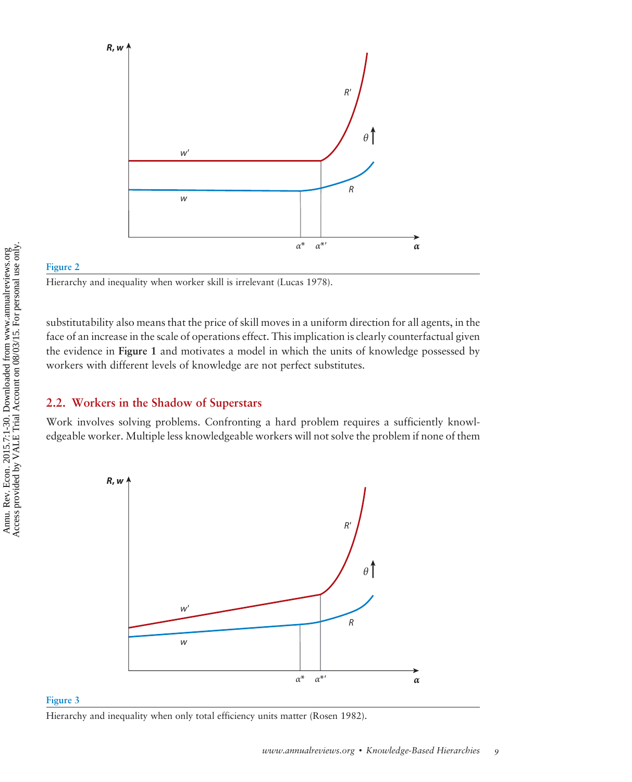

#### Figure 2

Hierarchy and inequality when worker skill is irrelevant (Lucas 1978).

substitutability also means that the price of skill moves in a uniform direction for all agents, in the face of an increase in the scale of operations effect. This implication is clearly counterfactual given the evidence in Figure 1 and motivates a model in which the units of knowledge possessed by workers with different levels of knowledge are not perfect substitutes.

#### 2.2. Workers in the Shadow of Superstars

Work involves solving problems. Confronting a hard problem requires a sufficiently knowledgeable worker. Multiple less knowledgeable workers will not solve the problem if none of them



#### Figure 3

Hierarchy and inequality when only total efficiency units matter (Rosen 1982).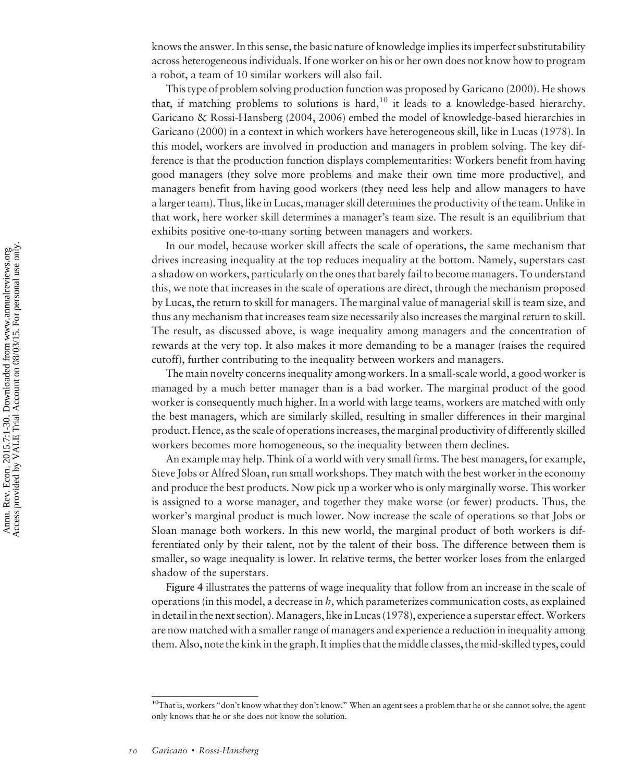knows the answer. In this sense, the basic nature of knowledge implies its imperfect substitutability across heterogeneous individuals. If one worker on his or her own does not know how to program a robot, a team of 10 similar workers will also fail.

This type of problem solving production function was proposed by Garicano (2000). He shows that, if matching problems to solutions is hard,<sup>10</sup> it leads to a knowledge-based hierarchy. Garicano & Rossi-Hansberg (2004, 2006) embed the model of knowledge-based hierarchies in Garicano (2000) in a context in which workers have heterogeneous skill, like in Lucas (1978). In this model, workers are involved in production and managers in problem solving. The key difference is that the production function displays complementarities: Workers benefit from having good managers (they solve more problems and make their own time more productive), and managers benefit from having good workers (they need less help and allow managers to have a larger team). Thus, like in Lucas, manager skill determines the productivity of the team. Unlike in that work, here worker skill determines a manager's team size. The result is an equilibrium that exhibits positive one-to-many sorting between managers and workers.

In our model, because worker skill affects the scale of operations, the same mechanism that drives increasing inequality at the top reduces inequality at the bottom. Namely, superstars cast a shadow on workers, particularly on the ones that barely fail to become managers. To understand this, we note that increases in the scale of operations are direct, through the mechanism proposed by Lucas, the return to skill for managers. The marginal value of managerial skill is team size, and thus any mechanism that increases team size necessarily also increases the marginal return to skill. The result, as discussed above, is wage inequality among managers and the concentration of rewards at the very top. It also makes it more demanding to be a manager (raises the required cutoff), further contributing to the inequality between workers and managers.

The main novelty concerns inequality among workers. In a small-scale world, a good worker is managed by a much better manager than is a bad worker. The marginal product of the good worker is consequently much higher. In a world with large teams, workers are matched with only the best managers, which are similarly skilled, resulting in smaller differences in their marginal product. Hence, as the scale of operations increases, the marginal productivity of differently skilled workers becomes more homogeneous, so the inequality between them declines.

An example may help. Think of a world with very small firms. The best managers, for example, Steve Jobs or Alfred Sloan, run small workshops. They match with the best worker in the economy and produce the best products. Now pick up a worker who is only marginally worse. This worker is assigned to a worse manager, and together they make worse (or fewer) products. Thus, the worker's marginal product is much lower. Now increase the scale of operations so that Jobs or Sloan manage both workers. In this new world, the marginal product of both workers is differentiated only by their talent, not by the talent of their boss. The difference between them is smaller, so wage inequality is lower. In relative terms, the better worker loses from the enlarged shadow of the superstars.

Figure 4 illustrates the patterns of wage inequality that follow from an increase in the scale of operations (in this model, a decrease in  $h$ , which parameterizes communication costs, as explained in detail in the next section). Managers, like in Lucas (1978), experience a superstar effect. Workers are now matched with a smaller range of managers and experience a reduction in inequality among them. Also, note the kink in the graph. It implies that the middle classes, the mid-skilled types, could

<sup>&</sup>lt;sup>10</sup>That is, workers "don't know what they don't know." When an agent sees a problem that he or she cannot solve, the agent only knows that he or she does not know the solution.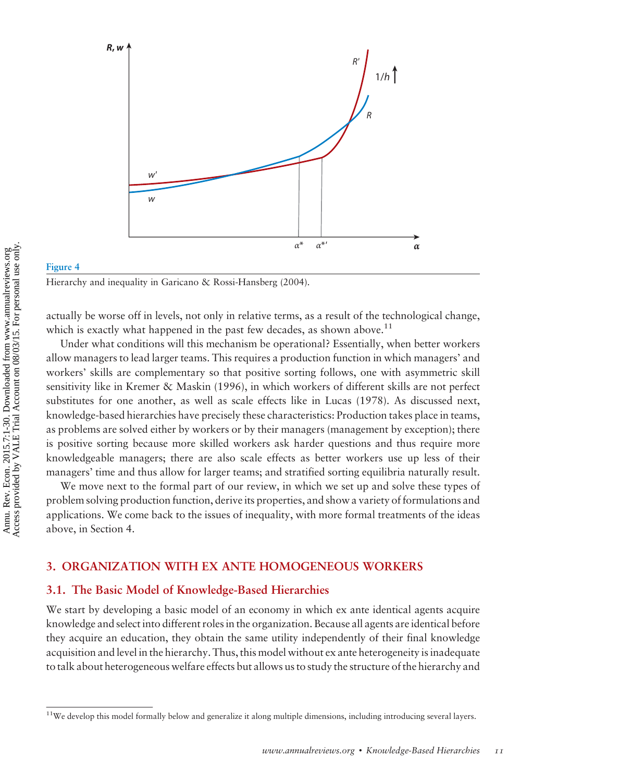

#### Figure 4

Hierarchy and inequality in Garicano & Rossi-Hansberg (2004).

actually be worse off in levels, not only in relative terms, as a result of the technological change, which is exactly what happened in the past few decades, as shown above.<sup>11</sup>

Under what conditions will this mechanism be operational? Essentially, when better workers allow managers to lead larger teams. This requires a production function in which managers' and workers' skills are complementary so that positive sorting follows, one with asymmetric skill sensitivity like in Kremer & Maskin (1996), in which workers of different skills are not perfect substitutes for one another, as well as scale effects like in Lucas (1978). As discussed next, knowledge-based hierarchies have precisely these characteristics: Production takes place in teams, as problems are solved either by workers or by their managers (management by exception); there is positive sorting because more skilled workers ask harder questions and thus require more knowledgeable managers; there are also scale effects as better workers use up less of their managers' time and thus allow for larger teams; and stratified sorting equilibria naturally result.

We move next to the formal part of our review, in which we set up and solve these types of problem solving production function, derive its properties, and show a variety of formulations and applications. We come back to the issues of inequality, with more formal treatments of the ideas above, in Section 4.

#### 3. ORGANIZATION WITH EX ANTE HOMOGENEOUS WORKERS

#### 3.1. The Basic Model of Knowledge-Based Hierarchies

We start by developing a basic model of an economy in which ex ante identical agents acquire knowledge and select into different roles in the organization. Because all agents are identical before they acquire an education, they obtain the same utility independently of their final knowledge acquisition and level in the hierarchy. Thus, this model without ex ante heterogeneity is inadequate to talk about heterogeneous welfare effects but allows us to study the structure of the hierarchy and

 $11$ We develop this model formally below and generalize it along multiple dimensions, including introducing several layers.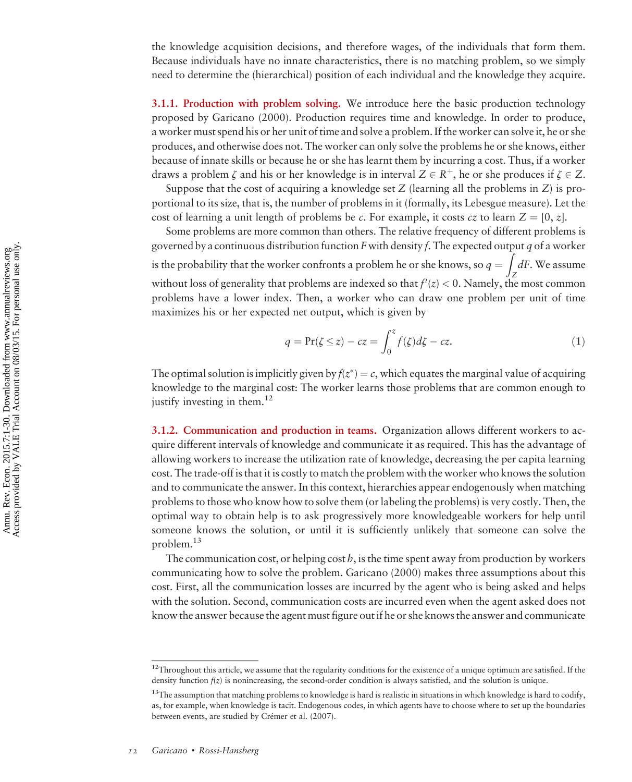the knowledge acquisition decisions, and therefore wages, of the individuals that form them. Because individuals have no innate characteristics, there is no matching problem, so we simply need to determine the (hierarchical) position of each individual and the knowledge they acquire.

3.1.1. Production with problem solving. We introduce here the basic production technology proposed by Garicano (2000). Production requires time and knowledge. In order to produce, a worker must spend his or her unit of time and solve a problem. If the worker can solve it, he or she produces, and otherwise does not. The worker can only solve the problems he or she knows, either because of innate skills or because he or she has learnt them by incurring a cost. Thus, if a worker draws a problem  $\zeta$  and his or her knowledge is in interval  $Z \in \mathbb{R}^+$ , he or she produces if  $\zeta \in Z$ .

Suppose that the cost of acquiring a knowledge set Z (learning all the problems in  $Z$ ) is proportional to its size, that is, the number of problems in it (formally, its Lebesgue measure). Let the cost of learning a unit length of problems be c. For example, it costs cz to learn  $Z = [0, z]$ .

Some problems are more common than others. The relative frequency of different problems is governed by a continuous distribution function F with density f. The expected output q of a worker is the probability that the worker confronts a problem he or she knows, so  $q = \int$ l *dF*. We assume<br>z without loss of generality that problems are indexed so that  $f'(z) < 0$ . Namely, the most common problems have a lower index. Then, a worker who can draw one problem per unit of time maximizes his or her expected net output, which is given by

$$
q = \Pr(\zeta \le z) - cz = \int_0^z f(\zeta) d\zeta - cz. \tag{1}
$$

The optimal solution is implicitly given by  $f(z^*) = c$ , which equates the marginal value of acquiring knowledge to the marginal cost: The worker learns those problems that are common enough to justify investing in them.<sup>12</sup>

3.1.2. Communication and production in teams. Organization allows different workers to acquire different intervals of knowledge and communicate it as required. This has the advantage of allowing workers to increase the utilization rate of knowledge, decreasing the per capita learning cost. The trade-off is that it is costly to match the problem with the worker who knows the solution and to communicate the answer. In this context, hierarchies appear endogenously when matching problems to those who know how to solve them (or labeling the problems) is very costly. Then, the optimal way to obtain help is to ask progressively more knowledgeable workers for help until someone knows the solution, or until it is sufficiently unlikely that someone can solve the problem.13

The communication cost, or helping cost  $h$ , is the time spent away from production by workers communicating how to solve the problem. Garicano (2000) makes three assumptions about this cost. First, all the communication losses are incurred by the agent who is being asked and helps with the solution. Second, communication costs are incurred even when the agent asked does not know the answer because the agent must figure out if he or she knows the answer and communicate

 $12$ Throughout this article, we assume that the regularity conditions for the existence of a unique optimum are satisfied. If the density function  $f(z)$  is nonincreasing, the second-order condition is always satisfied, and the solution is unique.

<sup>&</sup>lt;sup>13</sup>The assumption that matching problems to knowledge is hard is realistic in situations in which knowledge is hard to codify, as, for example, when knowledge is tacit. Endogenous codes, in which agents have to choose where to set up the boundaries between events, are studied by Crémer et al. (2007).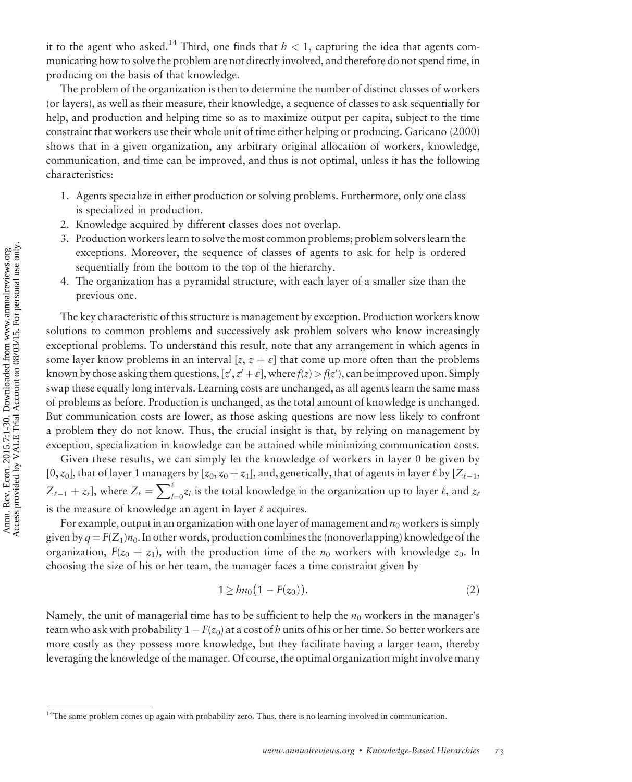it to the agent who asked.<sup>14</sup> Third, one finds that  $h < 1$ , capturing the idea that agents communicating how to solve the problem are not directly involved, and therefore do not spend time, in producing on the basis of that knowledge.

The problem of the organization is then to determine the number of distinct classes of workers (or layers), as well as their measure, their knowledge, a sequence of classes to ask sequentially for help, and production and helping time so as to maximize output per capita, subject to the time constraint that workers use their whole unit of time either helping or producing. Garicano (2000) shows that in a given organization, any arbitrary original allocation of workers, knowledge, communication, and time can be improved, and thus is not optimal, unless it has the following characteristics:

- 1. Agents specialize in either production or solving problems. Furthermore, only one class is specialized in production.
- 2. Knowledge acquired by different classes does not overlap.
- 3. Production workers learn to solve the most common problems; problem solvers learn the exceptions. Moreover, the sequence of classes of agents to ask for help is ordered sequentially from the bottom to the top of the hierarchy.
- 4. The organization has a pyramidal structure, with each layer of a smaller size than the previous one.

The key characteristic of this structure is management by exception. Production workers know solutions to common problems and successively ask problem solvers who know increasingly exceptional problems. To understand this result, note that any arrangement in which agents in some layer know problems in an interval  $[z, z + \varepsilon]$  that come up more often than the problems known by those asking them questions,  $[z', z' + \varepsilon]$ , where  $f(z) > f(z')$ , can be improved upon. Simply<br>even these equally long intervals. Learning gosts are unchanged, as all agents learn the same mass swap these equally long intervals. Learning costs are unchanged, as all agents learn the same mass of problems as before. Production is unchanged, as the total amount of knowledge is unchanged. But communication costs are lower, as those asking questions are now less likely to confront a problem they do not know. Thus, the crucial insight is that, by relying on management by exception, specialization in knowledge can be attained while minimizing communication costs.

Given these results, we can simply let the knowledge of workers in layer 0 be given by [0,  $z_0$ ], that of layer 1 managers by  $[z_0, z_0 + z_1]$ , and, generically, that of agents in layer  $\ell$  by  $[Z_{\ell-1},$  $Z_{\ell-1} + z_{\ell}$ , where  $Z_{\ell} = \sum_{l=0}^{\ell} z_l$  is the total knowledge in the organization up to layer  $\ell$ , and  $z_{\ell}$ is the measure of knowledge an agent in layer  $\ell$  acquires.

For example, output in an organization with one layer of management and  $n_0$  workers is simply given by  $q = F(Z_1)n_0$ . In other words, production combines the (nonoverlapping) knowledge of the organization,  $F(z_0 + z_1)$ , with the production time of the  $n_0$  workers with knowledge  $z_0$ . In choosing the size of his or her team, the manager faces a time constraint given by

$$
1 \geq b n_0 (1 - F(z_0)). \tag{2}
$$

Namely, the unit of managerial time has to be sufficient to help the  $n_0$  workers in the manager's team who ask with probability  $1 - F(z_0)$  at a cost of h units of his or her time. So better workers are more costly as they possess more knowledge, but they facilitate having a larger team, thereby leveraging the knowledge of the manager. Of course, the optimal organization might involve many

 $14$ The same problem comes up again with probability zero. Thus, there is no learning involved in communication.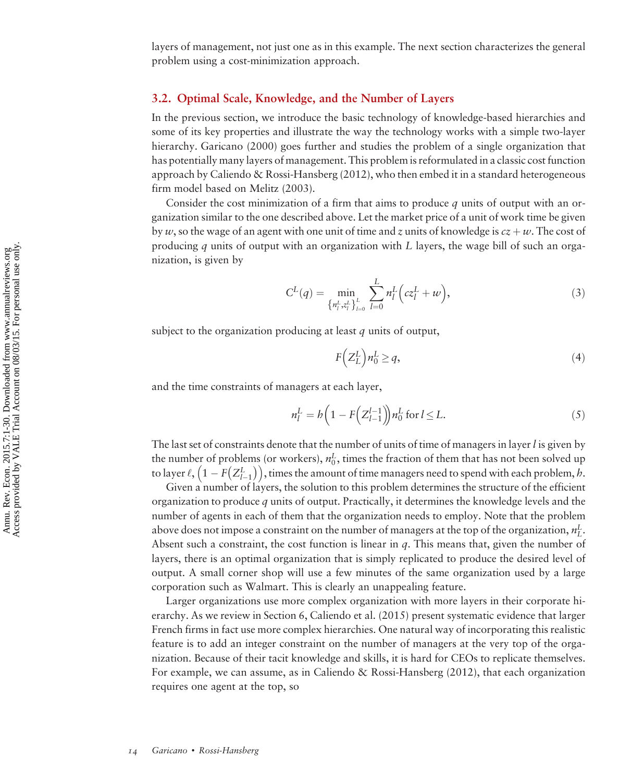layers of management, not just one as in this example. The next section characterizes the general problem using a cost-minimization approach.

#### 3.2. Optimal Scale, Knowledge, and the Number of Layers

In the previous section, we introduce the basic technology of knowledge-based hierarchies and some of its key properties and illustrate the way the technology works with a simple two-layer hierarchy. Garicano (2000) goes further and studies the problem of a single organization that has potentially many layers of management. This problem is reformulated in a classic cost function approach by Caliendo & Rossi-Hansberg (2012), who then embed it in a standard heterogeneous firm model based on Melitz (2003).

Consider the cost minimization of a firm that aims to produce  $q$  units of output with an organization similar to the one described above. Let the market price of a unit of work time be given by w, so the wage of an agent with one unit of time and z units of knowledge is  $cz + w$ . The cost of producing  $q$  units of output with an organization with  $L$  layers, the wage bill of such an organization, is given by

$$
C^{L}(q) = \min_{\left\{n_{l}^{L}, z_{l}^{L}\right\}_{l=0}^{L}} \sum_{l=0}^{L} n_{l}^{L}\left(cz_{l}^{L} + w\right),\tag{3}
$$

subject to the organization producing at least  $q$  units of output,

$$
F\left(Z_L^L\right) n_0^L \ge q,\tag{4}
$$

and the time constraints of managers at each layer,

$$
n_l^L = h \left( 1 - F \left( Z_{l-1}^{l-1} \right) \right) n_0^L \text{ for } l \le L. \tag{5}
$$

The last set of constraints denote that the number of units of time of managers in layer  $l$  is given by the number of problems (or workers),  $n_0^L$ , times the fraction of them that has not been solved up to layer  $\ell$ ,  $\left(1 - F(Z_{l-1}^{L})\right)$ , times the amount of time managers need to spend with each problem, h.

 $\alpha$ ,  $\left(1 - \frac{P(Z_{l-1})}{P} \right)$ , the sum a number of layers, the solution to this problem determines the structure of the efficient organization to produce  $q$  units of output. Practically, it determines the knowledge levels and the number of agents in each of them that the organization needs to employ. Note that the problem above does not impose a constraint on the number of managers at the top of the organization,  $n^L_L.$ Absent such a constraint, the cost function is linear in  $q$ . This means that, given the number of layers, there is an optimal organization that is simply replicated to produce the desired level of output. A small corner shop will use a few minutes of the same organization used by a large corporation such as Walmart. This is clearly an unappealing feature.

Larger organizations use more complex organization with more layers in their corporate hierarchy. As we review in Section 6, Caliendo et al. (2015) present systematic evidence that larger French firms in fact use more complex hierarchies. One natural way of incorporating this realistic feature is to add an integer constraint on the number of managers at the very top of the organization. Because of their tacit knowledge and skills, it is hard for CEOs to replicate themselves. For example, we can assume, as in Caliendo & Rossi-Hansberg (2012), that each organization requires one agent at the top, so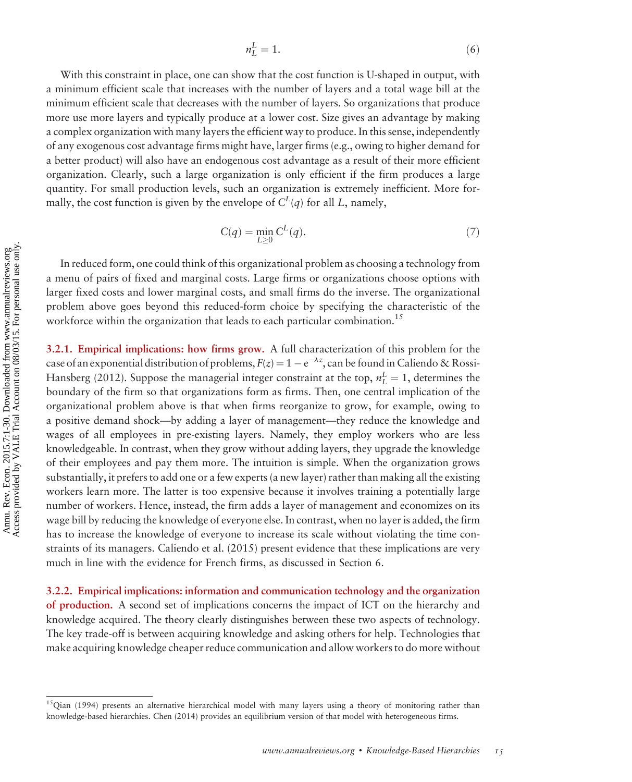$$
n_L^L = 1.\t\t(6)
$$

With this constraint in place, one can show that the cost function is U-shaped in output, with a minimum efficient scale that increases with the number of layers and a total wage bill at the minimum efficient scale that decreases with the number of layers. So organizations that produce more use more layers and typically produce at a lower cost. Size gives an advantage by making a complex organization with many layers the efficient way to produce. In this sense, independently of any exogenous cost advantage firms might have, larger firms (e.g., owing to higher demand for a better product) will also have an endogenous cost advantage as a result of their more efficient organization. Clearly, such a large organization is only efficient if the firm produces a large quantity. For small production levels, such an organization is extremely inefficient. More formally, the cost function is given by the envelope of  $C^{L}(q)$  for all L, namely,

$$
C(q) = \min_{L \ge 0} C^L(q). \tag{7}
$$

In reduced form, one could think of this organizational problem as choosing a technology from a menu of pairs of fixed and marginal costs. Large firms or organizations choose options with larger fixed costs and lower marginal costs, and small firms do the inverse. The organizational problem above goes beyond this reduced-form choice by specifying the characteristic of the workforce within the organization that leads to each particular combination.<sup>15</sup>

3.2.1. Empirical implications: how firms grow. A full characterization of this problem for the case of an exponential distribution of problems,  $F(z) = 1 - e^{-\lambda z}$ , can be found in Caliendo & Rossi-<br>Hansberg (2012), Suppose the managerial integer constraint at the top  $x^L = 1$ , determines the Hansberg (2012). Suppose the managerial integer constraint at the top,  $n_L^L = 1$ , determines the houndary of the firm so that organizations form as firms. Then, one control implication of the boundary of the firm so that organizations form as firms. Then, one central implication of the organizational problem above is that when firms reorganize to grow, for example, owing to a positive demand shock—by adding a layer of management—they reduce the knowledge and wages of all employees in pre-existing layers. Namely, they employ workers who are less knowledgeable. In contrast, when they grow without adding layers, they upgrade the knowledge of their employees and pay them more. The intuition is simple. When the organization grows substantially, it prefers to add one or a few experts (a new layer) rather than making all the existing workers learn more. The latter is too expensive because it involves training a potentially large number of workers. Hence, instead, the firm adds a layer of management and economizes on its wage bill by reducing the knowledge of everyone else. In contrast, when no layer is added, the firm has to increase the knowledge of everyone to increase its scale without violating the time constraints of its managers. Caliendo et al. (2015) present evidence that these implications are very much in line with the evidence for French firms, as discussed in Section 6.

3.2.2. Empirical implications: information and communication technology and the organization of production. A second set of implications concerns the impact of ICT on the hierarchy and knowledge acquired. The theory clearly distinguishes between these two aspects of technology. The key trade-off is between acquiring knowledge and asking others for help. Technologies that make acquiring knowledge cheaper reduce communication and allow workers to do more without

 $15Q$ ian (1994) presents an alternative hierarchical model with many layers using a theory of monitoring rather than knowledge-based hierarchies. Chen (2014) provides an equilibrium version of that model with heterogeneous firms.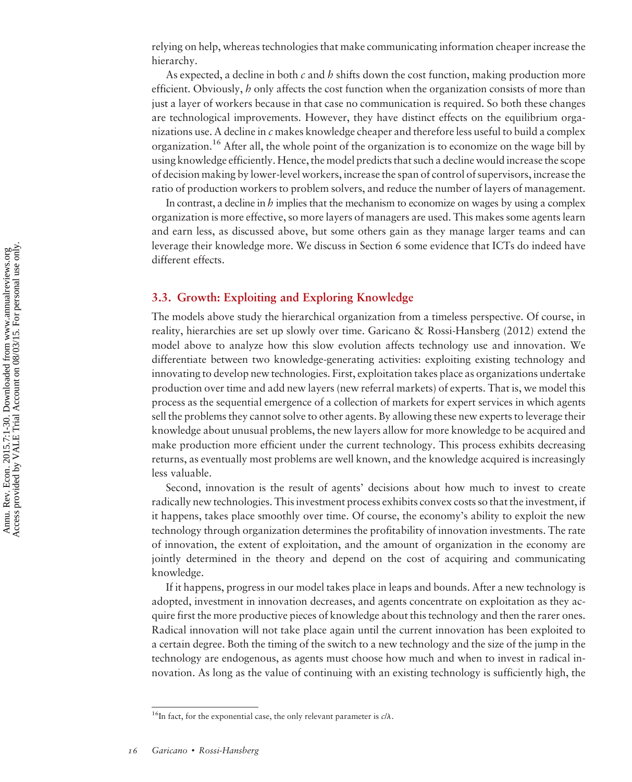relying on help, whereas technologies that make communicating information cheaper increase the hierarchy.

As expected, a decline in both c and h shifts down the cost function, making production more efficient. Obviously,  $h$  only affects the cost function when the organization consists of more than just a layer of workers because in that case no communication is required. So both these changes are technological improvements. However, they have distinct effects on the equilibrium organizations use. A decline in  $c$  makes knowledge cheaper and therefore less useful to build a complex organization.<sup>16</sup> After all, the whole point of the organization is to economize on the wage bill by using knowledge efficiently. Hence, the model predicts that such a decline would increase the scope of decision making by lower-level workers, increase the span of control of supervisors, increase the ratio of production workers to problem solvers, and reduce the number of layers of management.

In contrast, a decline in h implies that the mechanism to economize on wages by using a complex organization is more effective, so more layers of managers are used. This makes some agents learn and earn less, as discussed above, but some others gain as they manage larger teams and can leverage their knowledge more. We discuss in Section 6 some evidence that ICTs do indeed have different effects.

#### 3.3. Growth: Exploiting and Exploring Knowledge

The models above study the hierarchical organization from a timeless perspective. Of course, in reality, hierarchies are set up slowly over time. Garicano & Rossi-Hansberg (2012) extend the model above to analyze how this slow evolution affects technology use and innovation. We differentiate between two knowledge-generating activities: exploiting existing technology and innovating to develop new technologies. First, exploitation takes place as organizations undertake production over time and add new layers (new referral markets) of experts. That is, we model this process as the sequential emergence of a collection of markets for expert services in which agents sell the problems they cannot solve to other agents. By allowing these new experts to leverage their knowledge about unusual problems, the new layers allow for more knowledge to be acquired and make production more efficient under the current technology. This process exhibits decreasing returns, as eventually most problems are well known, and the knowledge acquired is increasingly less valuable.

Second, innovation is the result of agents' decisions about how much to invest to create radically new technologies. This investment process exhibits convex costs so that the investment, if it happens, takes place smoothly over time. Of course, the economy's ability to exploit the new technology through organization determines the profitability of innovation investments. The rate of innovation, the extent of exploitation, and the amount of organization in the economy are jointly determined in the theory and depend on the cost of acquiring and communicating knowledge.

If it happens, progress in our model takes place in leaps and bounds. After a new technology is adopted, investment in innovation decreases, and agents concentrate on exploitation as they acquire first the more productive pieces of knowledge about this technology and then the rarer ones. Radical innovation will not take place again until the current innovation has been exploited to a certain degree. Both the timing of the switch to a new technology and the size of the jump in the technology are endogenous, as agents must choose how much and when to invest in radical innovation. As long as the value of continuing with an existing technology is sufficiently high, the

<sup>&</sup>lt;sup>16</sup>In fact, for the exponential case, the only relevant parameter is  $c/\lambda$ .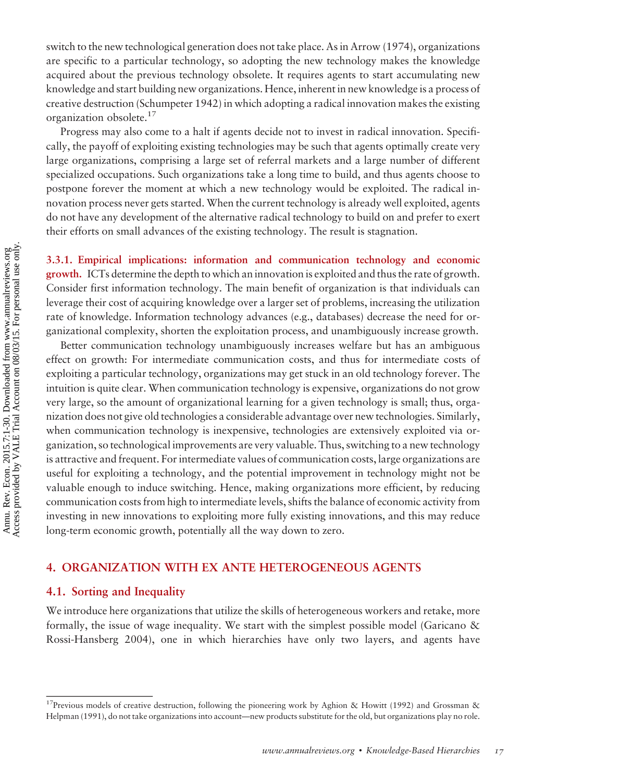switch to the new technological generation does not take place. As in Arrow (1974), organizations are specific to a particular technology, so adopting the new technology makes the knowledge acquired about the previous technology obsolete. It requires agents to start accumulating new knowledge and start building new organizations. Hence, inherent in new knowledge is a process of creative destruction (Schumpeter 1942) in which adopting a radical innovation makes the existing organization obsolete.<sup>17</sup>

Progress may also come to a halt if agents decide not to invest in radical innovation. Specifically, the payoff of exploiting existing technologies may be such that agents optimally create very large organizations, comprising a large set of referral markets and a large number of different specialized occupations. Such organizations take a long time to build, and thus agents choose to postpone forever the moment at which a new technology would be exploited. The radical innovation process never gets started. When the current technology is already well exploited, agents do not have any development of the alternative radical technology to build on and prefer to exert their efforts on small advances of the existing technology. The result is stagnation.

3.3.1. Empirical implications: information and communication technology and economic growth. ICTs determine the depth to which an innovation is exploited and thus the rate of growth. Consider first information technology. The main benefit of organization is that individuals can leverage their cost of acquiring knowledge over a larger set of problems, increasing the utilization rate of knowledge. Information technology advances (e.g., databases) decrease the need for organizational complexity, shorten the exploitation process, and unambiguously increase growth.

Better communication technology unambiguously increases welfare but has an ambiguous effect on growth: For intermediate communication costs, and thus for intermediate costs of exploiting a particular technology, organizations may get stuck in an old technology forever. The intuition is quite clear. When communication technology is expensive, organizations do not grow very large, so the amount of organizational learning for a given technology is small; thus, organization does not give old technologies a considerable advantage over new technologies. Similarly, when communication technology is inexpensive, technologies are extensively exploited via organization, so technological improvements are very valuable. Thus, switching to a new technology is attractive and frequent. For intermediate values of communication costs, large organizations are useful for exploiting a technology, and the potential improvement in technology might not be valuable enough to induce switching. Hence, making organizations more efficient, by reducing communication costs from high to intermediate levels, shifts the balance of economic activity from investing in new innovations to exploiting more fully existing innovations, and this may reduce long-term economic growth, potentially all the way down to zero.

#### 4. ORGANIZATION WITH EX ANTE HETEROGENEOUS AGENTS

#### 4.1. Sorting and Inequality

We introduce here organizations that utilize the skills of heterogeneous workers and retake, more formally, the issue of wage inequality. We start with the simplest possible model (Garicano  $\&$ Rossi-Hansberg 2004), one in which hierarchies have only two layers, and agents have

<sup>&</sup>lt;sup>17</sup>Previous models of creative destruction, following the pioneering work by Aghion & Howitt (1992) and Grossman & Helpman (1991), do not take organizations into account—new products substitute for the old, but organizations play no role.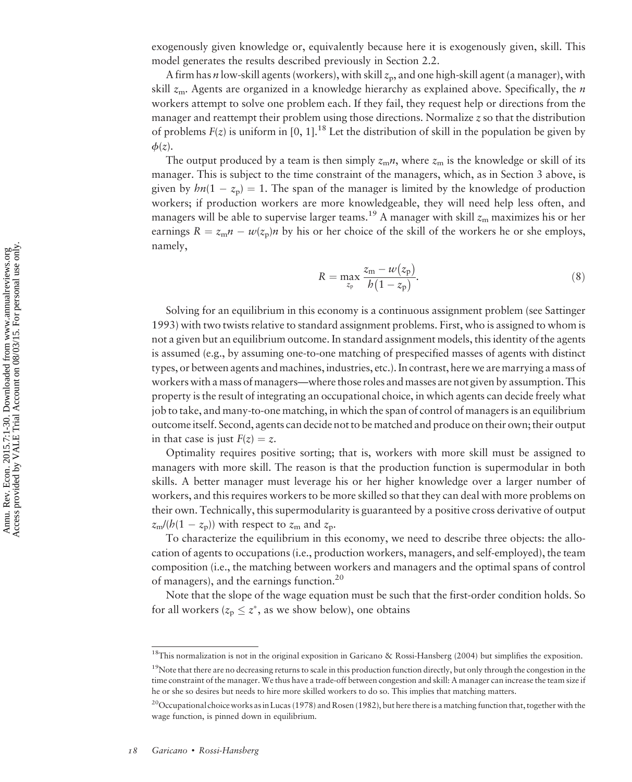exogenously given knowledge or, equivalently because here it is exogenously given, skill. This model generates the results described previously in Section 2.2.

A firm has n low-skill agents (workers), with skill  $z_p$ , and one high-skill agent (a manager), with skill  $z<sub>m</sub>$ . Agents are organized in a knowledge hierarchy as explained above. Specifically, the *n* workers attempt to solve one problem each. If they fail, they request help or directions from the manager and reattempt their problem using those directions. Normalize  $\zeta$  so that the distribution of problems  $F(z)$  is uniform in [0, 1].<sup>18</sup> Let the distribution of skill in the population be given by  $\phi(z)$ .

The output produced by a team is then simply  $z_m n$ , where  $z_m$  is the knowledge or skill of its manager. This is subject to the time constraint of the managers, which, as in Section 3 above, is given by  $bn(1 - z_p) = 1$ . The span of the manager is limited by the knowledge of production workers; if production workers are more knowledgeable, they will need help less often, and managers will be able to supervise larger teams.<sup>19</sup> A manager with skill  $z<sub>m</sub>$  maximizes his or her earnings  $R = z_m n - w(z_n)n$  by his or her choice of the skill of the workers he or she employs, namely,

$$
R = \max_{z_p} \frac{z_m - w(z_p)}{h(1 - z_p)}.
$$
\n(8)

Solving for an equilibrium in this economy is a continuous assignment problem (see Sattinger 1993) with two twists relative to standard assignment problems. First, who is assigned to whom is not a given but an equilibrium outcome. In standard assignment models, this identity of the agents is assumed (e.g., by assuming one-to-one matching of prespecified masses of agents with distinct types, or between agents and machines, industries, etc.). In contrast, here we are marrying a mass of workers with a mass of managers—where those roles and masses are not given by assumption. This property is the result of integrating an occupational choice, in which agents can decide freely what job to take, and many-to-one matching, in which the span of control of managers is an equilibrium outcome itself. Second, agents can decide not to be matched and produce on their own; their output in that case is just  $F(z) = z$ .

Optimality requires positive sorting; that is, workers with more skill must be assigned to managers with more skill. The reason is that the production function is supermodular in both skills. A better manager must leverage his or her higher knowledge over a larger number of workers, and this requires workers to be more skilled so that they can deal with more problems on their own. Technically, this supermodularity is guaranteed by a positive cross derivative of output  $z_m/(h(1-z_p))$  with respect to  $z_m$  and  $z_p$ .

To characterize the equilibrium in this economy, we need to describe three objects: the allocation of agents to occupations (i.e., production workers, managers, and self-employed), the team composition (i.e., the matching between workers and managers and the optimal spans of control of managers), and the earnings function.<sup>20</sup>

Note that the slope of the wage equation must be such that the first-order condition holds. So for all workers ( $z_p \leq z^*$ , as we show below), one obtains

<sup>18</sup>This normalization is not in the original exposition in Garicano & Rossi-Hansberg (2004) but simplifies the exposition.

<sup>&</sup>lt;sup>19</sup>Note that there are no decreasing returns to scale in this production function directly, but only through the congestion in the time constraint of the manager. We thus have a trade-off between congestion and skill: A manager can increase the team size if he or she so desires but needs to hire more skilled workers to do so. This implies that matching matters.

<sup>&</sup>lt;sup>20</sup>Occupational choice works as in Lucas (1978) and Rosen (1982), but here there is a matching function that, together with the wage function, is pinned down in equilibrium.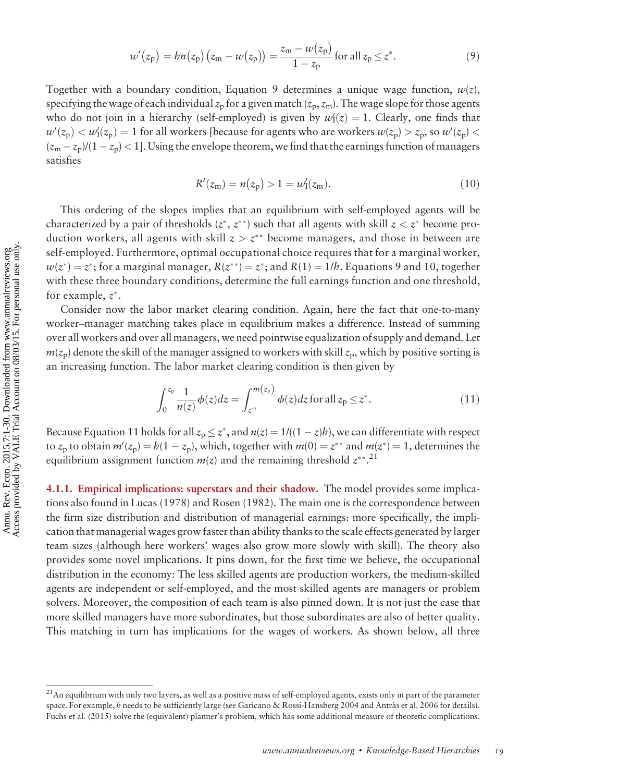$$
w'(z_{p}) = bn(z_{p})(z_{m} - w(z_{p})) = \frac{z_{m} - w(z_{p})}{1 - z_{p}} \text{ for all } z_{p} \leq z^{*}.
$$
 (9)

Together with a boundary condition, Equation 9 determines a unique wage function,  $w(z)$ , specifying the wage of each individual  $z_p$  for a given match  $(z_p, z_m)$ . The wage slope for those agents who do not join in a hierarchy (self-employed) is given by  $w_1'(z) = 1$ . Clearly, one finds that  $w_2'(z) \leq w_3'(z) \leq 1$  for all works as the agents who are works as  $w_3(z) \geq z$ , as  $w_4'(z) \leq z$  $w'(z_p) < w'(z_p) = 1$  for all workers [because for agents who are workers  $w(z_p) > z_p$ , so  $w'(z_p) < z_p$  $(z_m - z_p)/(1 - z_p) < 1$ . Using the envelope theorem, we find that the earnings function of managers satisfies

$$
R'(z_{\rm m}) = n(z_{\rm p}) > 1 = \omega'_{\rm l}(z_{\rm m}).\tag{10}
$$

This ordering of the slopes implies that an equilibrium with self-employed agents will be characterized by a pair of thresholds  $(z^*, z^{**})$  such that all agents with skill  $z < z^*$  become production workers, all agents with skill  $z > z^{**}$  become managers, and those in between are self-employed. Furthermore, optimal occupational choice requires that for a marginal worker,  $w(z^*) = z^*$ ; for a marginal manager,  $R(z^{**}) = z^*$ ; and  $R(1) = 1/b$ . Equations 9 and 10, together with these three boundary conditions, determine the full earnings function and one threshold, for example,  $z^*$ .

Consider now the labor market clearing condition. Again, here the fact that one-to-many worker–manager matching takes place in equilibrium makes a difference. Instead of summing over all workers and over all managers, we need pointwise equalization of supply and demand. Let  $m(z_p)$  denote the skill of the manager assigned to workers with skill  $z_p$ , which by positive sorting is an increasing function. The labor market clearing condition is then given by

$$
\int_0^{z_p} \frac{1}{n(z)} \phi(z) dz = \int_{z^{**}}^{m(z_p)} \phi(z) dz \text{ for all } z_p \le z^*.
$$
 (11)

Because Equation 11 holds for all  $z_p \leq z^*$ , and  $n(z) = 1/(1 - z)h$ , we can differentiate with respect to  $z_p$  to obtain  $m'(z_p) = h(1 - z_p)$ , which, together with  $m(0) = z^{**}$  and  $m(z^*) = 1$ , determines the equilibrium assignment function  $m(z)$  and the remaining threshold  $z^{**}$ .<sup>21</sup>

4.1.1. Empirical implications: superstars and their shadow. The model provides some implications also found in Lucas (1978) and Rosen (1982). The main one is the correspondence between the firm size distribution and distribution of managerial earnings: more specifically, the implication that managerial wages grow faster than ability thanks to the scale effects generated by larger team sizes (although here workers' wages also grow more slowly with skill). The theory also provides some novel implications. It pins down, for the first time we believe, the occupational distribution in the economy: The less skilled agents are production workers, the medium-skilled agents are independent or self-employed, and the most skilled agents are managers or problem solvers. Moreover, the composition of each team is also pinned down. It is not just the case that more skilled managers have more subordinates, but those subordinates are also of better quality. This matching in turn has implications for the wages of workers. As shown below, all three

<sup>&</sup>lt;sup>21</sup>An equilibrium with only two layers, as well as a positive mass of self-employed agents, exists only in part of the parameter space. For example, h needs to be sufficiently large (see Garicano & Rossi-Hansberg 2004 and Antràs et al. 2006 for details). Fuchs et al. (2015) solve the (equivalent) planner's problem, which has some additional measure of theoretic complications.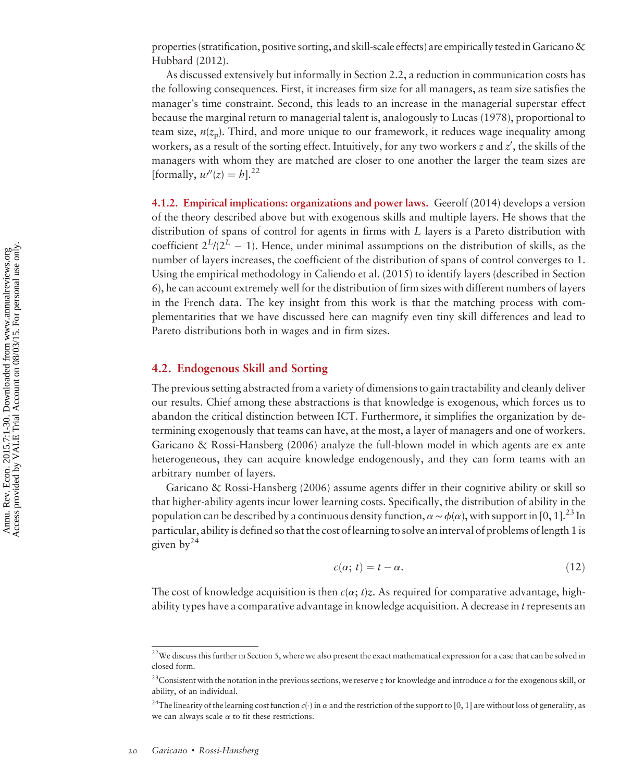properties (stratification, positive sorting, and skill-scale effects) are empirically tested in Garicano& Hubbard (2012).

As discussed extensively but informally in Section 2.2, a reduction in communication costs has the following consequences. First, it increases firm size for all managers, as team size satisfies the manager's time constraint. Second, this leads to an increase in the managerial superstar effect because the marginal return to managerial talent is, analogously to Lucas (1978), proportional to team size,  $n(z_p)$ . Third, and more unique to our framework, it reduces wage inequality among workers, as a result of the sorting effect. Intuitively, for any two workers  $z$  and  $z^{\prime}$ , the skills of the managers with whom they are matched are closer to one another the larger the team sizes are [formally,  $w''(z) = h$ ].<sup>22</sup>

4.1.2. Empirical implications: organizations and power laws. Geerolf (2014) develops a version of the theory described above but with exogenous skills and multiple layers. He shows that the distribution of spans of control for agents in firms with L layers is a Pareto distribution with coefficient  $2^L/(2^L - 1)$ . Hence, under minimal assumptions on the distribution of skills, as the number of layers increases, the coefficient of the distribution of spans of control converges to 1. Using the empirical methodology in Caliendo et al. (2015) to identify layers (described in Section 6), he can account extremely well for the distribution of firm sizes with different numbers of layers in the French data. The key insight from this work is that the matching process with complementarities that we have discussed here can magnify even tiny skill differences and lead to Pareto distributions both in wages and in firm sizes.

#### 4.2. Endogenous Skill and Sorting

The previous setting abstracted from a variety of dimensions to gain tractability and cleanly deliver our results. Chief among these abstractions is that knowledge is exogenous, which forces us to abandon the critical distinction between ICT. Furthermore, it simplifies the organization by determining exogenously that teams can have, at the most, a layer of managers and one of workers. Garicano & Rossi-Hansberg (2006) analyze the full-blown model in which agents are ex ante heterogeneous, they can acquire knowledge endogenously, and they can form teams with an arbitrary number of layers.

Garicano & Rossi-Hansberg (2006) assume agents differ in their cognitive ability or skill so that higher-ability agents incur lower learning costs. Specifically, the distribution of ability in the population can be described by a continuous density function,  $\alpha \sim \phi(\alpha)$ , with support in [0, 1].<sup>23</sup> In particular, ability is defined so that the cost of learning to solve an interval of problems of length 1 is given  $by<sup>24</sup>$ 

$$
c(\alpha; t) = t - \alpha. \tag{12}
$$

The cost of knowledge acquisition is then  $c(\alpha; t)z$ . As required for comparative advantage, highability types have a comparative advantage in knowledge acquisition. A decrease in trepresents an

<sup>&</sup>lt;sup>22</sup>We discuss this further in Section 5, where we also present the exact mathematical expression for a case that can be solved in closed form.

<sup>&</sup>lt;sup>23</sup>Consistent with the notation in the previous sections, we reserve *z* for knowledge and introduce  $\alpha$  for the exogenous skill, or ability, of an individual.

<sup>&</sup>lt;sup>24</sup>The linearity of the learning cost function  $c(\cdot)$  in  $\alpha$  and the restriction of the support to [0, 1] are without loss of generality, as we can always scale  $\alpha$  to fit these restrictions.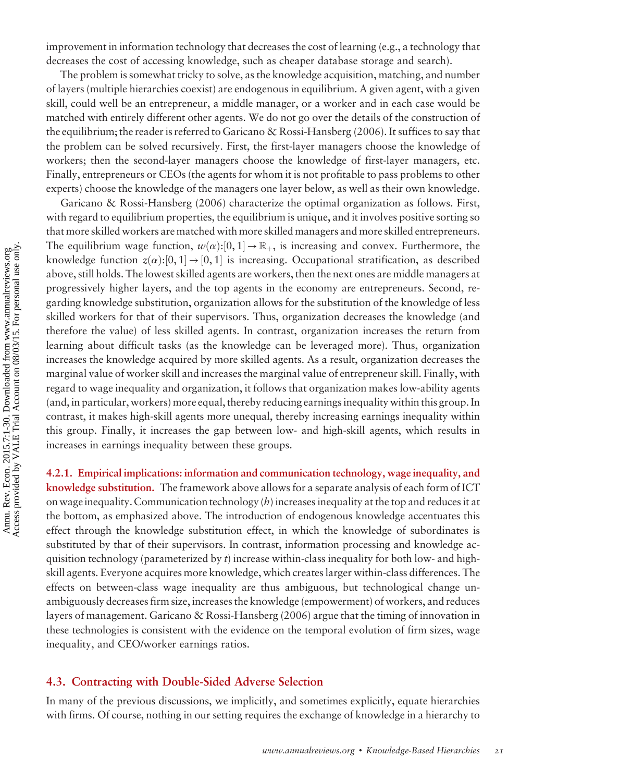improvement in information technology that decreases the cost of learning (e.g., a technology that decreases the cost of accessing knowledge, such as cheaper database storage and search).

The problem is somewhat tricky to solve, as the knowledge acquisition, matching, and number of layers (multiple hierarchies coexist) are endogenous in equilibrium. A given agent, with a given skill, could well be an entrepreneur, a middle manager, or a worker and in each case would be matched with entirely different other agents. We do not go over the details of the construction of the equilibrium; the reader is referred to Garicano & Rossi-Hansberg (2006). It suffices to say that the problem can be solved recursively. First, the first-layer managers choose the knowledge of workers; then the second-layer managers choose the knowledge of first-layer managers, etc. Finally, entrepreneurs or CEOs (the agents for whom it is not profitable to pass problems to other experts) choose the knowledge of the managers one layer below, as well as their own knowledge.

Garicano & Rossi-Hansberg (2006) characterize the optimal organization as follows. First, with regard to equilibrium properties, the equilibrium is unique, and it involves positive sorting so that more skilled workers are matched with more skilled managers and more skilled entrepreneurs. The equilibrium wage function,  $w(\alpha):[0,1] \to \mathbb{R}_+$ , is increasing and convex. Furthermore, the knowledge function  $z(\alpha):[0,1] \rightarrow [0,1]$  is increasing. Occupational stratification, as described above, still holds. The lowest skilled agents are workers, then the next ones are middle managers at progressively higher layers, and the top agents in the economy are entrepreneurs. Second, regarding knowledge substitution, organization allows for the substitution of the knowledge of less skilled workers for that of their supervisors. Thus, organization decreases the knowledge (and therefore the value) of less skilled agents. In contrast, organization increases the return from learning about difficult tasks (as the knowledge can be leveraged more). Thus, organization increases the knowledge acquired by more skilled agents. As a result, organization decreases the marginal value of worker skill and increases the marginal value of entrepreneur skill. Finally, with regard to wage inequality and organization, it follows that organization makes low-ability agents (and, in particular, workers) more equal, thereby reducing earnings inequality within this group. In contrast, it makes high-skill agents more unequal, thereby increasing earnings inequality within this group. Finally, it increases the gap between low- and high-skill agents, which results in increases in earnings inequality between these groups.

4.2.1. Empirical implications: information and communication technology, wage inequality, and knowledge substitution. The framework above allows for a separate analysis of each form of ICT on wage inequality. Communication technology  $(b)$  increases inequality at the top and reduces it at the bottom, as emphasized above. The introduction of endogenous knowledge accentuates this effect through the knowledge substitution effect, in which the knowledge of subordinates is substituted by that of their supervisors. In contrast, information processing and knowledge acquisition technology (parameterized by  $t$ ) increase within-class inequality for both low- and highskill agents. Everyone acquires more knowledge, which creates larger within-class differences. The effects on between-class wage inequality are thus ambiguous, but technological change unambiguously decreases firm size, increases the knowledge (empowerment) of workers, and reduces layers of management. Garicano & Rossi-Hansberg (2006) argue that the timing of innovation in these technologies is consistent with the evidence on the temporal evolution of firm sizes, wage inequality, and CEO/worker earnings ratios.

#### 4.3. Contracting with Double-Sided Adverse Selection

In many of the previous discussions, we implicitly, and sometimes explicitly, equate hierarchies with firms. Of course, nothing in our setting requires the exchange of knowledge in a hierarchy to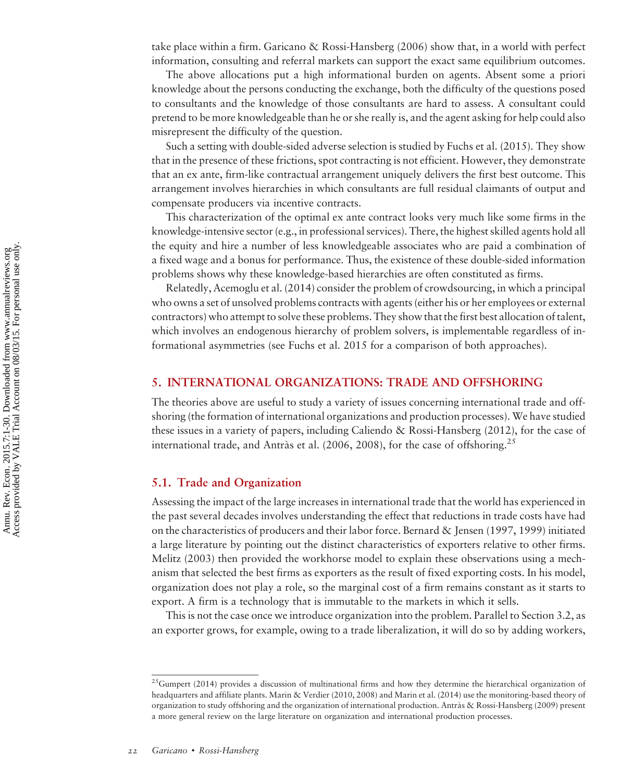take place within a firm. Garicano & Rossi-Hansberg (2006) show that, in a world with perfect information, consulting and referral markets can support the exact same equilibrium outcomes.

The above allocations put a high informational burden on agents. Absent some a priori knowledge about the persons conducting the exchange, both the difficulty of the questions posed to consultants and the knowledge of those consultants are hard to assess. A consultant could pretend to be more knowledgeable than he or she really is, and the agent asking for help could also misrepresent the difficulty of the question.

Such a setting with double-sided adverse selection is studied by Fuchs et al. (2015). They show that in the presence of these frictions, spot contracting is not efficient. However, they demonstrate that an ex ante, firm-like contractual arrangement uniquely delivers the first best outcome. This arrangement involves hierarchies in which consultants are full residual claimants of output and compensate producers via incentive contracts.

This characterization of the optimal ex ante contract looks very much like some firms in the knowledge-intensive sector (e.g., in professional services). There, the highest skilled agents hold all the equity and hire a number of less knowledgeable associates who are paid a combination of a fixed wage and a bonus for performance. Thus, the existence of these double-sided information problems shows why these knowledge-based hierarchies are often constituted as firms.

Relatedly, Acemoglu et al. (2014) consider the problem of crowdsourcing, in which a principal who owns a set of unsolved problems contracts with agents (either his or her employees or external contractors) who attempt to solve these problems. They show that the first best allocation of talent, which involves an endogenous hierarchy of problem solvers, is implementable regardless of informational asymmetries (see Fuchs et al. 2015 for a comparison of both approaches).

#### 5. INTERNATIONAL ORGANIZATIONS: TRADE AND OFFSHORING

The theories above are useful to study a variety of issues concerning international trade and offshoring (the formation of international organizations and production processes). We have studied these issues in a variety of papers, including Caliendo & Rossi-Hansberg (2012), for the case of international trade, and Antràs et al.  $(2006, 2008)$ , for the case of offshoring.<sup>25</sup>

#### 5.1. Trade and Organization

Assessing the impact of the large increases in international trade that the world has experienced in the past several decades involves understanding the effect that reductions in trade costs have had on the characteristics of producers and their labor force. Bernard  $\&$  Jensen (1997, 1999) initiated a large literature by pointing out the distinct characteristics of exporters relative to other firms. Melitz (2003) then provided the workhorse model to explain these observations using a mechanism that selected the best firms as exporters as the result of fixed exporting costs. In his model, organization does not play a role, so the marginal cost of a firm remains constant as it starts to export. A firm is a technology that is immutable to the markets in which it sells.

This is not the case once we introduce organization into the problem. Parallel to Section 3.2, as an exporter grows, for example, owing to a trade liberalization, it will do so by adding workers,

 $^{25}$ Gumpert (2014) provides a discussion of multinational firms and how they determine the hierarchical organization of headquarters and affiliate plants. Marin & Verdier (2010, 2008) and Marin et al. (2014) use the monitoring-based theory of organization to study offshoring and the organization of international production. Antràs & Rossi-Hansberg (2009) present a more general review on the large literature on organization and international production processes.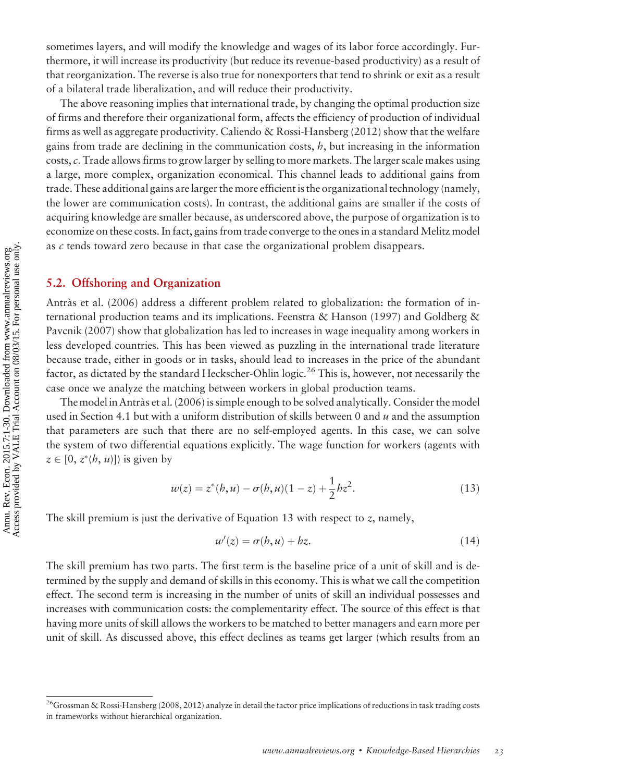sometimes layers, and will modify the knowledge and wages of its labor force accordingly. Furthermore, it will increase its productivity (but reduce its revenue-based productivity) as a result of that reorganization. The reverse is also true for nonexporters that tend to shrink or exit as a result of a bilateral trade liberalization, and will reduce their productivity.

The above reasoning implies that international trade, by changing the optimal production size of firms and therefore their organizational form, affects the efficiency of production of individual firms as well as aggregate productivity. Caliendo & Rossi-Hansberg (2012) show that the welfare gains from trade are declining in the communication costs,  $h$ , but increasing in the information costs,  $c$ . Trade allows firms to grow larger by selling to more markets. The larger scale makes using a large, more complex, organization economical. This channel leads to additional gains from trade. These additional gains are larger the more efficient is the organizational technology (namely, the lower are communication costs). In contrast, the additional gains are smaller if the costs of acquiring knowledge are smaller because, as underscored above, the purpose of organization is to economize on these costs. In fact, gains from trade converge to the ones in a standard Melitz model as c tends toward zero because in that case the organizational problem disappears.

#### 5.2. Offshoring and Organization

Antràs et al. (2006) address a different problem related to globalization: the formation of international production teams and its implications. Feenstra & Hanson (1997) and Goldberg  $\&$ Pavcnik (2007) show that globalization has led to increases in wage inequality among workers in less developed countries. This has been viewed as puzzling in the international trade literature because trade, either in goods or in tasks, should lead to increases in the price of the abundant factor, as dictated by the standard Heckscher-Ohlin logic.<sup>26</sup> This is, however, not necessarily the case once we analyze the matching between workers in global production teams.

Themodel in Antràs et al. (2006) is simple enough to be solved analytically. Consider the model used in Section 4.1 but with a uniform distribution of skills between 0 and  $u$  and the assumption that parameters are such that there are no self-employed agents. In this case, we can solve the system of two differential equations explicitly. The wage function for workers (agents with  $z \in [0, z^*(h, u)]$  is given by

$$
w(z) = z^*(b, u) - \sigma(b, u)(1 - z) + \frac{1}{2}bz^2.
$$
 (13)

The skill premium is just the derivative of Equation 13 with respect to  $z$ , namely,

$$
w'(z) = \sigma(h, u) + hz.
$$
\n(14)

The skill premium has two parts. The first term is the baseline price of a unit of skill and is determined by the supply and demand of skills in this economy. This is what we call the competition effect. The second term is increasing in the number of units of skill an individual possesses and increases with communication costs: the complementarity effect. The source of this effect is that having more units of skill allows the workers to be matched to better managers and earn more per unit of skill. As discussed above, this effect declines as teams get larger (which results from an

 $^{26}$ Grossman & Rossi-Hansberg (2008, 2012) analyze in detail the factor price implications of reductions in task trading costs in frameworks without hierarchical organization.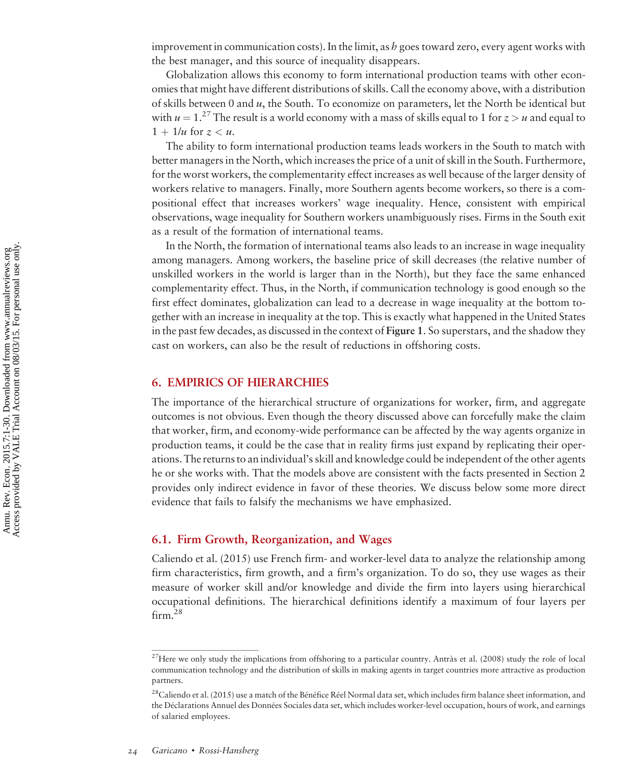improvement in communication costs). In the limit, as  $h$  goes toward zero, every agent works with the best manager, and this source of inequality disappears.

Globalization allows this economy to form international production teams with other economies that might have different distributions of skills. Call the economy above, with a distribution of skills between 0 and  $u$ , the South. To economize on parameters, let the North be identical but with  $u = 1.^{27}$  The result is a world economy with a mass of skills equal to 1 for  $z > u$  and equal to  $1 + 1/u$  for  $z < u$ .

The ability to form international production teams leads workers in the South to match with better managers in the North, which increases the price of a unit of skill in the South. Furthermore, for the worst workers, the complementarity effect increases as well because of the larger density of workers relative to managers. Finally, more Southern agents become workers, so there is a compositional effect that increases workers' wage inequality. Hence, consistent with empirical observations, wage inequality for Southern workers unambiguously rises. Firms in the South exit as a result of the formation of international teams.

In the North, the formation of international teams also leads to an increase in wage inequality among managers. Among workers, the baseline price of skill decreases (the relative number of unskilled workers in the world is larger than in the North), but they face the same enhanced complementarity effect. Thus, in the North, if communication technology is good enough so the first effect dominates, globalization can lead to a decrease in wage inequality at the bottom together with an increase in inequality at the top. This is exactly what happened in the United States in the past few decades, as discussed in the context of Figure 1. So superstars, and the shadow they cast on workers, can also be the result of reductions in offshoring costs.

#### 6. EMPIRICS OF HIERARCHIES

The importance of the hierarchical structure of organizations for worker, firm, and aggregate outcomes is not obvious. Even though the theory discussed above can forcefully make the claim that worker, firm, and economy-wide performance can be affected by the way agents organize in production teams, it could be the case that in reality firms just expand by replicating their operations. The returns to an individual's skill and knowledge could be independent of the other agents he or she works with. That the models above are consistent with the facts presented in Section 2 provides only indirect evidence in favor of these theories. We discuss below some more direct evidence that fails to falsify the mechanisms we have emphasized.

#### 6.1. Firm Growth, Reorganization, and Wages

Caliendo et al. (2015) use French firm- and worker-level data to analyze the relationship among firm characteristics, firm growth, and a firm's organization. To do so, they use wages as their measure of worker skill and/or knowledge and divide the firm into layers using hierarchical occupational definitions. The hierarchical definitions identify a maximum of four layers per firm.<sup>28</sup>

<sup>&</sup>lt;sup>27</sup>Here we only study the implications from offshoring to a particular country. Antràs et al. (2008) study the role of local communication technology and the distribution of skills in making agents in target countries more attractive as production partners.

 $^{28}$ Caliendo et al. (2015) use a match of the Bénéfice Réel Normal data set, which includes firm balance sheet information, and the Déclarations Annuel des Données Sociales data set, which includes worker-level occupation, hours of work, and earnings of salaried employees.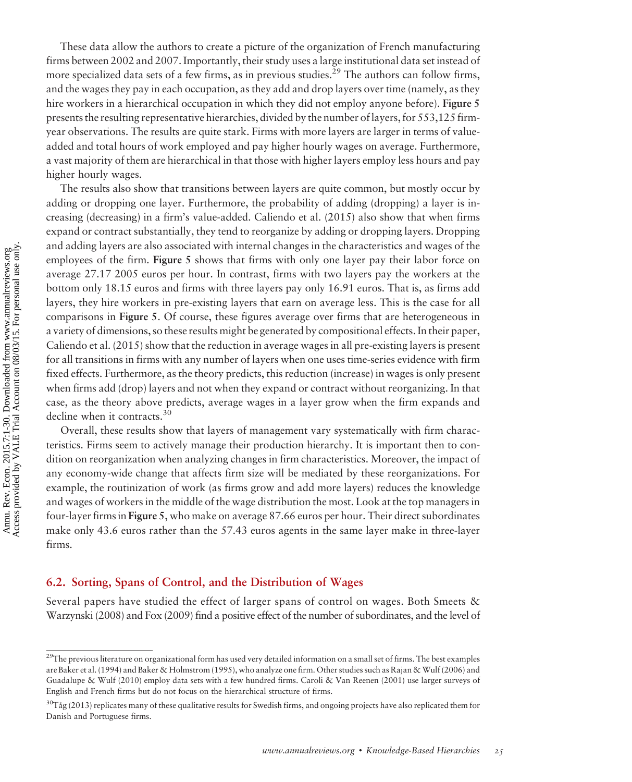These data allow the authors to create a picture of the organization of French manufacturing firms between 2002 and 2007. Importantly, their study uses a large institutional data set instead of more specialized data sets of a few firms, as in previous studies.<sup>29</sup> The authors can follow firms, and the wages they pay in each occupation, as they add and drop layers over time (namely, as they hire workers in a hierarchical occupation in which they did not employ anyone before). Figure 5 presents the resulting representative hierarchies, divided by the number of layers, for 553,125 firmyear observations. The results are quite stark. Firms with more layers are larger in terms of valueadded and total hours of work employed and pay higher hourly wages on average. Furthermore, a vast majority of them are hierarchical in that those with higher layers employ less hours and pay higher hourly wages.

The results also show that transitions between layers are quite common, but mostly occur by adding or dropping one layer. Furthermore, the probability of adding (dropping) a layer is increasing (decreasing) in a firm's value-added. Caliendo et al. (2015) also show that when firms expand or contract substantially, they tend to reorganize by adding or dropping layers. Dropping and adding layers are also associated with internal changes in the characteristics and wages of the employees of the firm. Figure 5 shows that firms with only one layer pay their labor force on average 27.17 2005 euros per hour. In contrast, firms with two layers pay the workers at the bottom only 18.15 euros and firms with three layers pay only 16.91 euros. That is, as firms add layers, they hire workers in pre-existing layers that earn on average less. This is the case for all comparisons in Figure 5. Of course, these figures average over firms that are heterogeneous in a variety of dimensions, so these results might be generated by compositional effects. In their paper, Caliendo et al. (2015) show that the reduction in average wages in all pre-existing layers is present for all transitions in firms with any number of layers when one uses time-series evidence with firm fixed effects. Furthermore, as the theory predicts, this reduction (increase) in wages is only present when firms add (drop) layers and not when they expand or contract without reorganizing. In that case, as the theory above predicts, average wages in a layer grow when the firm expands and decline when it contracts.<sup>30</sup>

Overall, these results show that layers of management vary systematically with firm characteristics. Firms seem to actively manage their production hierarchy. It is important then to condition on reorganization when analyzing changes in firm characteristics. Moreover, the impact of any economy-wide change that affects firm size will be mediated by these reorganizations. For example, the routinization of work (as firms grow and add more layers) reduces the knowledge and wages of workers in the middle of the wage distribution the most. Look at the top managers in four-layer firms in Figure 5, who make on average 87.66 euros per hour. Their direct subordinates make only 43.6 euros rather than the 57.43 euros agents in the same layer make in three-layer firms.

#### 6.2. Sorting, Spans of Control, and the Distribution of Wages

Several papers have studied the effect of larger spans of control on wages. Both Smeets & Warzynski (2008) and Fox (2009) find a positive effect of the number of subordinates, and the level of

<sup>&</sup>lt;sup>29</sup>The previous literature on organizational form has used very detailed information on a small set of firms. The best examples are Baker et al. (1994) and Baker & Holmstrom (1995), who analyze one firm. Other studies such as Rajan & Wulf (2006) and Guadalupe & Wulf (2010) employ data sets with a few hundred firms. Caroli & Van Reenen (2001) use larger surveys of English and French firms but do not focus on the hierarchical structure of firms.

 $30$ Tåg (2013) replicates many of these qualitative results for Swedish firms, and ongoing projects have also replicated them for Danish and Portuguese firms.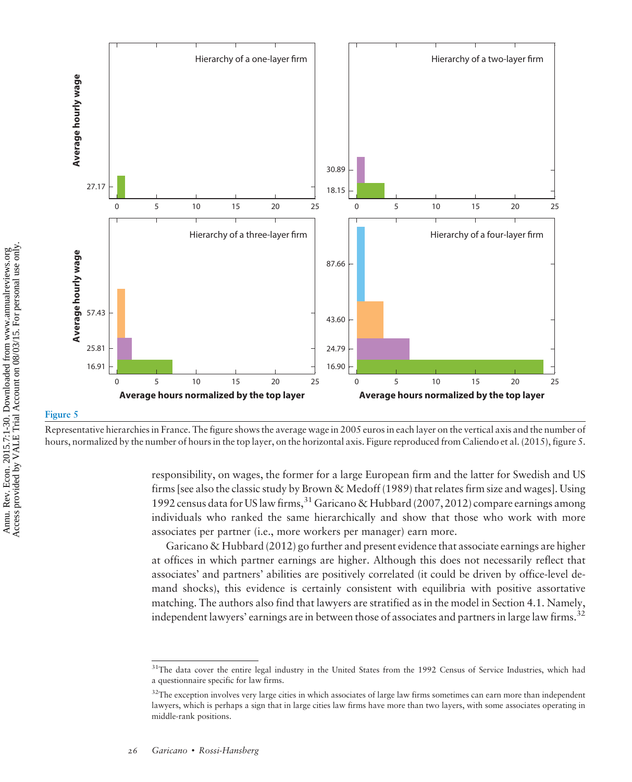

Representative hierarchies in France. The figure shows the average wage in 2005 euros in each layer on the vertical axis and the number of hours, normalized by the number of hours in the top layer, on the horizontal axis. Figure reproduced from Caliendo et al. (2015), figure 5.

responsibility, on wages, the former for a large European firm and the latter for Swedish and US firms [see also the classic study by Brown & Medoff (1989) that relates firm size and wages]. Using 1992 census data for US law firms,<sup>31</sup> Garicano & Hubbard (2007, 2012) compare earnings among individuals who ranked the same hierarchically and show that those who work with more associates per partner (i.e., more workers per manager) earn more.

Garicano & Hubbard (2012) go further and present evidence that associate earnings are higher at offices in which partner earnings are higher. Although this does not necessarily reflect that associates' and partners' abilities are positively correlated (it could be driven by office-level demand shocks), this evidence is certainly consistent with equilibria with positive assortative matching. The authors also find that lawyers are stratified as in the model in Section 4.1. Namely, independent lawyers' earnings are in between those of associates and partners in large law firms.<sup>32</sup>

<sup>&</sup>lt;sup>31</sup>The data cover the entire legal industry in the United States from the 1992 Census of Service Industries, which had a questionnaire specific for law firms.

<sup>&</sup>lt;sup>32</sup>The exception involves very large cities in which associates of large law firms sometimes can earn more than independent lawyers, which is perhaps a sign that in large cities law firms have more than two layers, with some associates operating in middle-rank positions.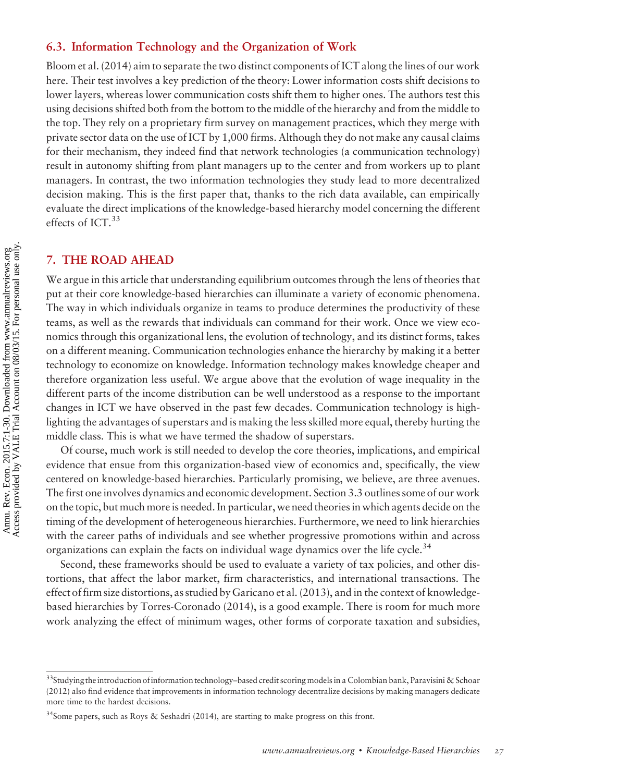#### 6.3. Information Technology and the Organization of Work

Bloom et al. (2014) aim to separate the two distinct components of ICT along the lines of our work here. Their test involves a key prediction of the theory: Lower information costs shift decisions to lower layers, whereas lower communication costs shift them to higher ones. The authors test this using decisions shifted both from the bottom to the middle of the hierarchy and from the middle to the top. They rely on a proprietary firm survey on management practices, which they merge with private sector data on the use of ICT by 1,000 firms. Although they do not make any causal claims for their mechanism, they indeed find that network technologies (a communication technology) result in autonomy shifting from plant managers up to the center and from workers up to plant managers. In contrast, the two information technologies they study lead to more decentralized decision making. This is the first paper that, thanks to the rich data available, can empirically evaluate the direct implications of the knowledge-based hierarchy model concerning the different effects of ICT.<sup>33</sup>

#### 7. THE ROAD AHEAD

We argue in this article that understanding equilibrium outcomes through the lens of theories that put at their core knowledge-based hierarchies can illuminate a variety of economic phenomena. The way in which individuals organize in teams to produce determines the productivity of these teams, as well as the rewards that individuals can command for their work. Once we view economics through this organizational lens, the evolution of technology, and its distinct forms, takes on a different meaning. Communication technologies enhance the hierarchy by making it a better technology to economize on knowledge. Information technology makes knowledge cheaper and therefore organization less useful. We argue above that the evolution of wage inequality in the different parts of the income distribution can be well understood as a response to the important changes in ICT we have observed in the past few decades. Communication technology is highlighting the advantages of superstars and is making the less skilled more equal, thereby hurting the middle class. This is what we have termed the shadow of superstars.

Of course, much work is still needed to develop the core theories, implications, and empirical evidence that ensue from this organization-based view of economics and, specifically, the view centered on knowledge-based hierarchies. Particularly promising, we believe, are three avenues. The first one involves dynamics and economic development. Section 3.3 outlines some of our work on the topic, but much more is needed. In particular, we need theories in which agents decide on the timing of the development of heterogeneous hierarchies. Furthermore, we need to link hierarchies with the career paths of individuals and see whether progressive promotions within and across organizations can explain the facts on individual wage dynamics over the life cycle.<sup>34</sup>

Second, these frameworks should be used to evaluate a variety of tax policies, and other distortions, that affect the labor market, firm characteristics, and international transactions. The effect of firm size distortions, as studied by Garicano et al. (2013), and in the context of knowledgebased hierarchies by Torres-Coronado (2014), is a good example. There is room for much more work analyzing the effect of minimum wages, other forms of corporate taxation and subsidies,

<sup>33</sup>Studying the introduction of information technology-based credit scoring models in a Colombian bank, Paravisini & Schoar (2012) also find evidence that improvements in information technology decentralize decisions by making managers dedicate more time to the hardest decisions.

<sup>&</sup>lt;sup>34</sup>Some papers, such as Roys & Seshadri (2014), are starting to make progress on this front.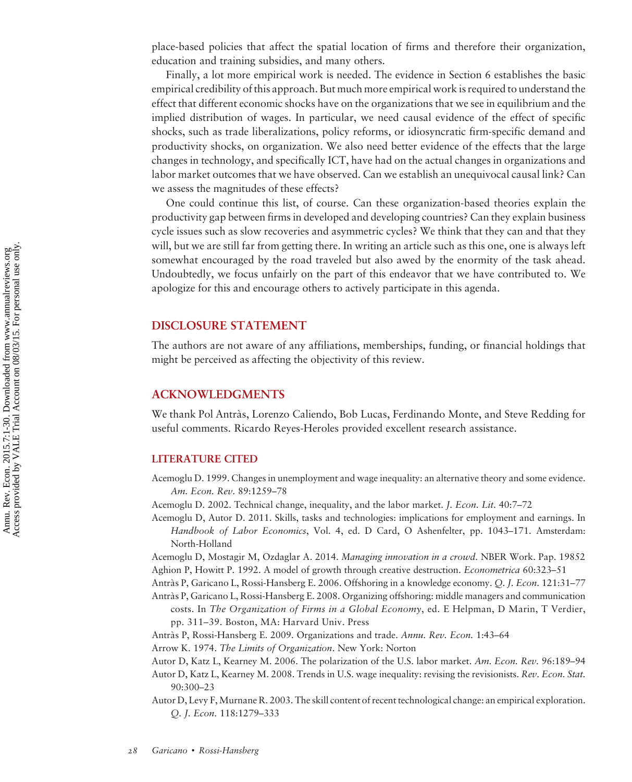place-based policies that affect the spatial location of firms and therefore their organization, education and training subsidies, and many others.

Finally, a lot more empirical work is needed. The evidence in Section 6 establishes the basic empirical credibility of this approach. But much more empirical work is required to understand the effect that different economic shocks have on the organizations that we see in equilibrium and the implied distribution of wages. In particular, we need causal evidence of the effect of specific shocks, such as trade liberalizations, policy reforms, or idiosyncratic firm-specific demand and productivity shocks, on organization. We also need better evidence of the effects that the large changes in technology, and specifically ICT, have had on the actual changes in organizations and labor market outcomes that we have observed. Can we establish an unequivocal causal link? Can we assess the magnitudes of these effects?

One could continue this list, of course. Can these organization-based theories explain the productivity gap between firms in developed and developing countries? Can they explain business cycle issues such as slow recoveries and asymmetric cycles? We think that they can and that they will, but we are still far from getting there. In writing an article such as this one, one is always left somewhat encouraged by the road traveled but also awed by the enormity of the task ahead. Undoubtedly, we focus unfairly on the part of this endeavor that we have contributed to. We apologize for this and encourage others to actively participate in this agenda.

#### DISCLOSURE STATEMENT

The authors are not aware of any affiliations, memberships, funding, or financial holdings that might be perceived as affecting the objectivity of this review.

#### ACKNOWLEDGMENTS

We thank Pol Antràs, Lorenzo Caliendo, Bob Lucas, Ferdinando Monte, and Steve Redding for useful comments. Ricardo Reyes-Heroles provided excellent research assistance.

#### LITERATURE CITED

- Acemoglu D. 1999. Changes in unemployment and wage inequality: an alternative theory and some evidence. Am. Econ. Rev. 89:1259–78
- Acemoglu D. 2002. Technical change, inequality, and the labor market. J. Econ. Lit. 40:7–72
- Acemoglu D, Autor D. 2011. Skills, tasks and technologies: implications for employment and earnings. In Handbook of Labor Economics, Vol. 4, ed. D Card, O Ashenfelter, pp. 1043–171. Amsterdam: North-Holland

Acemoglu D, Mostagir M, Ozdaglar A. 2014. Managing innovation in a crowd. NBER Work. Pap. 19852 Aghion P, Howitt P. 1992. A model of growth through creative destruction. Econometrica 60:323–51

Antràs P, Garicano L, Rossi-Hansberg E. 2006. Offshoring in a knowledge economy. Q. J. Econ. 121:31–77

- Antràs P, Garicano L, Rossi-Hansberg E. 2008. Organizing offshoring: middle managers and communication costs. In The Organization of Firms in a Global Economy, ed. E Helpman, D Marin, T Verdier, pp. 311–39. Boston, MA: Harvard Univ. Press
- Antràs P, Rossi-Hansberg E. 2009. Organizations and trade. Annu. Rev. Econ. 1:43–64
- Arrow K. 1974. The Limits of Organization. New York: Norton

Autor D, Katz L, Kearney M. 2006. The polarization of the U.S. labor market. Am. Econ. Rev. 96:189–94

- Autor D, Katz L, Kearney M. 2008. Trends in U.S. wage inequality: revising the revisionists. Rev. Econ. Stat. 90:300–23
- Autor D, Levy F, Murnane R. 2003. The skill content of recent technological change: an empirical exploration. Q. J. Econ. 118:1279–333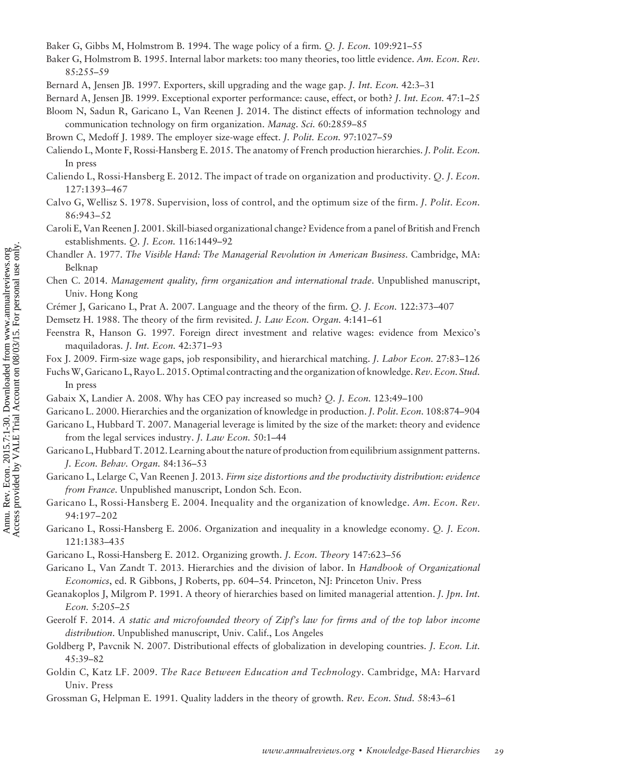Baker G, Gibbs M, Holmstrom B. 1994. The wage policy of a firm. Q. J. Econ. 109:921–55

- Baker G, Holmstrom B. 1995. Internal labor markets: too many theories, too little evidence. Am. Econ. Rev. 85:255–59
- Bernard A, Jensen JB. 1997. Exporters, skill upgrading and the wage gap. J. Int. Econ. 42:3–31
- Bernard A, Jensen JB. 1999. Exceptional exporter performance: cause, effect, or both? J. Int. Econ. 47:1–25
- Bloom N, Sadun R, Garicano L, Van Reenen J. 2014. The distinct effects of information technology and communication technology on firm organization. Manag. Sci. 60:2859–85
- Brown C, Medoff J. 1989. The employer size-wage effect. J. Polit. Econ. 97:1027–59
- Caliendo L, Monte F, Rossi-Hansberg E. 2015. The anatomy of French production hierarchies. J. Polit. Econ. In press
- Caliendo L, Rossi-Hansberg E. 2012. The impact of trade on organization and productivity. Q. J. Econ. 127:1393–467
- Calvo G, Wellisz S. 1978. Supervision, loss of control, and the optimum size of the firm. J. Polit. Econ. 86:943–52
- Caroli E, Van Reenen J. 2001. Skill-biased organizational change? Evidence from a panel of British and French establishments. Q. J. Econ. 116:1449–92
- Chandler A. 1977. The Visible Hand: The Managerial Revolution in American Business. Cambridge, MA: Belknap
- Chen C. 2014. Management quality, firm organization and international trade. Unpublished manuscript, Univ. Hong Kong
- Crémer J, Garicano L, Prat A. 2007. Language and the theory of the firm. Q. J. Econ. 122:373–407
- Demsetz H. 1988. The theory of the firm revisited. J. Law Econ. Organ. 4:141–61
- Feenstra R, Hanson G. 1997. Foreign direct investment and relative wages: evidence from Mexico's maquiladoras. J. Int. Econ. 42:371–93
- Fox J. 2009. Firm-size wage gaps, job responsibility, and hierarchical matching. J. Labor Econ. 27:83–126
- FuchsW, Garicano L, Rayo L. 2015. Optimal contracting and the organization of knowledge. Rev. Econ. Stud. In press
- Gabaix X, Landier A. 2008. Why has CEO pay increased so much? Q. J. Econ. 123:49–100
- Garicano L. 2000. Hierarchies and the organization of knowledge in production. *J. Polit. Econ.* 108:874–904
- Garicano L, Hubbard T. 2007. Managerial leverage is limited by the size of the market: theory and evidence from the legal services industry. J. Law Econ. 50:1–44
- Garicano L, Hubbard T. 2012. Learning about the nature of production from equilibrium assignment patterns. J. Econ. Behav. Organ. 84:136–53
- Garicano L, Lelarge C, Van Reenen J. 2013. Firm size distortions and the productivity distribution: evidence from France. Unpublished manuscript, London Sch. Econ.
- Garicano L, Rossi-Hansberg E. 2004. Inequality and the organization of knowledge. Am. Econ. Rev. 94:197–202
- Garicano L, Rossi-Hansberg E. 2006. Organization and inequality in a knowledge economy. Q. J. Econ. 121:1383–435
- Garicano L, Rossi-Hansberg E. 2012. Organizing growth. J. Econ. Theory 147:623–56
- Garicano L, Van Zandt T. 2013. Hierarchies and the division of labor. In Handbook of Organizational Economics, ed. R Gibbons, J Roberts, pp. 604–54. Princeton, NJ: Princeton Univ. Press
- Geanakoplos J, Milgrom P. 1991. A theory of hierarchies based on limited managerial attention. *J. Jpn. Int.* Econ. 5:205–25
- Geerolf F. 2014. A static and microfounded theory of Zipf's law for firms and of the top labor income distribution. Unpublished manuscript, Univ. Calif., Los Angeles
- Goldberg P, Pavcnik N. 2007. Distributional effects of globalization in developing countries. J. Econ. Lit. 45:39–82
- Goldin C, Katz LF. 2009. The Race Between Education and Technology. Cambridge, MA: Harvard Univ. Press
- Grossman G, Helpman E. 1991. Quality ladders in the theory of growth. Rev. Econ. Stud. 58:43–61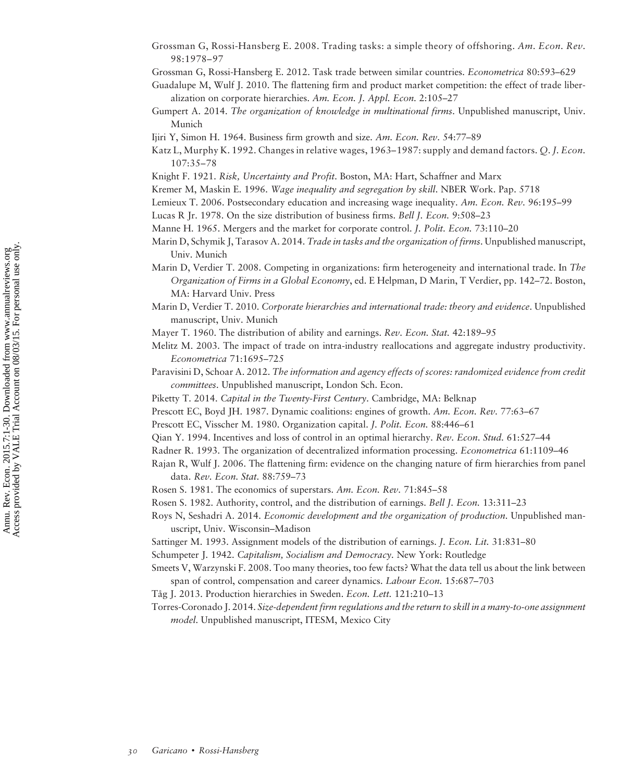Grossman G, Rossi-Hansberg E. 2008. Trading tasks: a simple theory of offshoring. Am. Econ. Rev. 98:1978–97

Grossman G, Rossi-Hansberg E. 2012. Task trade between similar countries. Econometrica 80:593–629

Guadalupe M, Wulf J. 2010. The flattening firm and product market competition: the effect of trade liberalization on corporate hierarchies. Am. Econ. J. Appl. Econ. 2:105–27

- Gumpert A. 2014. The organization of knowledge in multinational firms. Unpublished manuscript, Univ. Munich
- Ijiri Y, Simon H. 1964. Business firm growth and size. Am. Econ. Rev. 54:77–89
- Katz L, Murphy K. 1992. Changes in relative wages, 1963–1987: supply and demand factors. Q. J. Econ. 107:35–78
- Knight F. 1921. Risk, Uncertainty and Profit. Boston, MA: Hart, Schaffner and Marx
- Kremer M, Maskin E. 1996. Wage inequality and segregation by skill. NBER Work. Pap. 5718
- Lemieux T. 2006. Postsecondary education and increasing wage inequality. Am. Econ. Rev. 96:195–99
- Lucas R Jr. 1978. On the size distribution of business firms. Bell J. Econ. 9:508–23
- Manne H. 1965. Mergers and the market for corporate control. J. Polit. Econ. 73:110–20
- Marin D, Schymik J, Tarasov A. 2014. *Trade in tasks and the organization of firms*. Unpublished manuscript, Univ. Munich
- Marin D, Verdier T. 2008. Competing in organizations: firm heterogeneity and international trade. In The Organization of Firms in a Global Economy, ed. E Helpman, D Marin, T Verdier, pp. 142–72. Boston, MA: Harvard Univ. Press
- Marin D, Verdier T. 2010. Corporate hierarchies and international trade: theory and evidence. Unpublished manuscript, Univ. Munich
- Mayer T. 1960. The distribution of ability and earnings. Rev. Econ. Stat. 42:189–95
- Melitz M. 2003. The impact of trade on intra-industry reallocations and aggregate industry productivity. Econometrica 71:1695–725
- Paravisini D, Schoar A. 2012. The information and agency effects of scores: randomized evidence from credit committees. Unpublished manuscript, London Sch. Econ.
- Piketty T. 2014. Capital in the Twenty-First Century. Cambridge, MA: Belknap
- Prescott EC, Boyd JH. 1987. Dynamic coalitions: engines of growth. Am. Econ. Rev. 77:63–67
- Prescott EC, Visscher M. 1980. Organization capital. J. Polit. Econ. 88:446-61
- Qian Y. 1994. Incentives and loss of control in an optimal hierarchy. Rev. Econ. Stud. 61:527–44
- Radner R. 1993. The organization of decentralized information processing. Econometrica 61:1109–46
- Rajan R, Wulf J. 2006. The flattening firm: evidence on the changing nature of firm hierarchies from panel data. Rev. Econ. Stat. 88:759–73
- Rosen S. 1981. The economics of superstars. Am. Econ. Rev. 71:845–58
- Rosen S. 1982. Authority, control, and the distribution of earnings. Bell J. Econ. 13:311–23
- Roys N, Seshadri A. 2014. *Economic development and the organization of production*. Unpublished manuscript, Univ. Wisconsin–Madison
- Sattinger M. 1993. Assignment models of the distribution of earnings. J. Econ. Lit. 31:831–80
- Schumpeter J. 1942. Capitalism, Socialism and Democracy. New York: Routledge
- Smeets V, Warzynski F. 2008. Too many theories, too few facts? What the data tell us about the link between span of control, compensation and career dynamics. Labour Econ. 15:687–703
- Tåg J. 2013. Production hierarchies in Sweden. Econ. Lett. 121:210–13
- Torres-Coronado J. 2014. Size-dependent firm regulations and the return to skill in a many-to-one assignment model. Unpublished manuscript, ITESM, Mexico City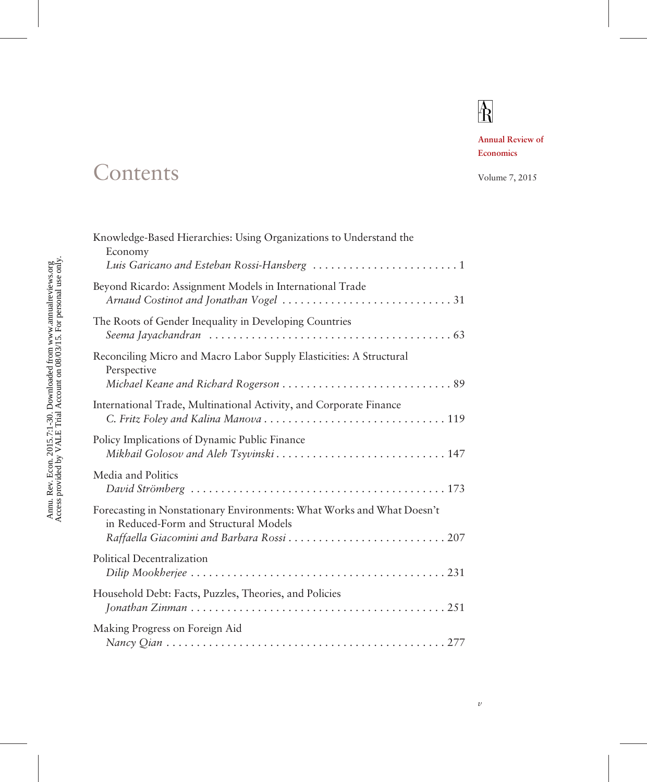Annual Review of Economics

# Annu. Rev. Econ. 2015.7:1-30. Downloaded from www.annualreviews.org<br>Access provided by VALE Trial Account on 08/03/15. For personal use only. Access provided by VALE Trial Account on 08/03/15. For personal use only.Annu. Rev. Econ. 2015.7:1-30. Downloaded from www.annualreviews.org

## Contents Volume 7, 2015

| Knowledge-Based Hierarchies: Using Organizations to Understand the<br>Economy                                                                                |
|--------------------------------------------------------------------------------------------------------------------------------------------------------------|
| Beyond Ricardo: Assignment Models in International Trade                                                                                                     |
| The Roots of Gender Inequality in Developing Countries                                                                                                       |
| Reconciling Micro and Macro Labor Supply Elasticities: A Structural<br>Perspective                                                                           |
| International Trade, Multinational Activity, and Corporate Finance                                                                                           |
| Policy Implications of Dynamic Public Finance<br>Mikhail Golosov and Aleh Tsyvinski147                                                                       |
| Media and Politics                                                                                                                                           |
| Forecasting in Nonstationary Environments: What Works and What Doesn't<br>in Reduced-Form and Structural Models<br>Raffaella Giacomini and Barbara Rossi 207 |
| Political Decentralization                                                                                                                                   |
| Household Debt: Facts, Puzzles, Theories, and Policies                                                                                                       |
| Making Progress on Foreign Aid                                                                                                                               |